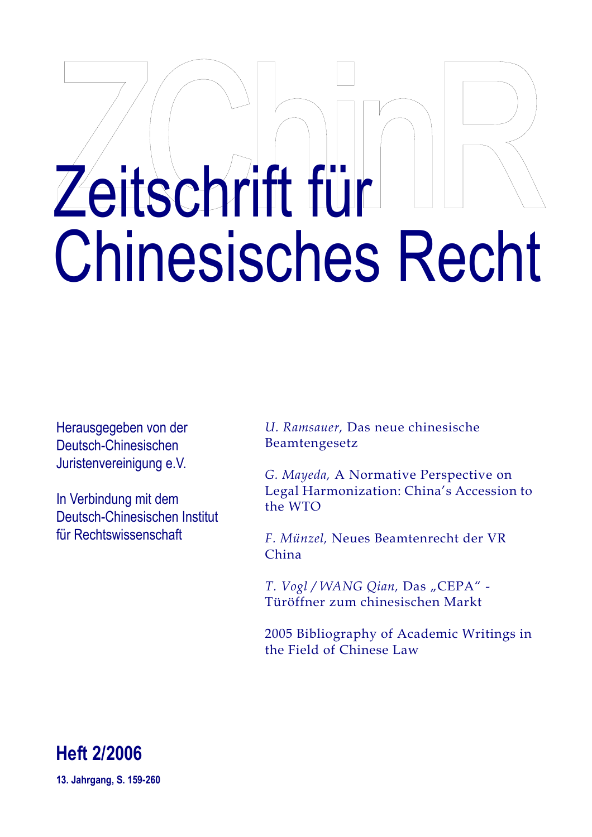# Zeitschrift für Chinesisches Recht

Herausgegeben von der Deutsch-Chinesischen Juristenvereinigung e.V.

In Verbindung mit dem Deutsch-Chinesischen Institut für Rechtswissenschaft

*U. Ramsauer,* Das neue chinesische Beamtengesetz

*G. Mayeda,* A Normative Perspective on Legal Harmonization: China's Accession to the WTO

*F. Münzel,* Neues Beamtenrecht der VR China

*T. Vogl / WANG Qian, Das "CEPA" -*Türöffner zum chinesischen Markt

2005 Bibliography of Academic Writings in the Field of Chinese Law



**13. Jahrgang, S. 159-260**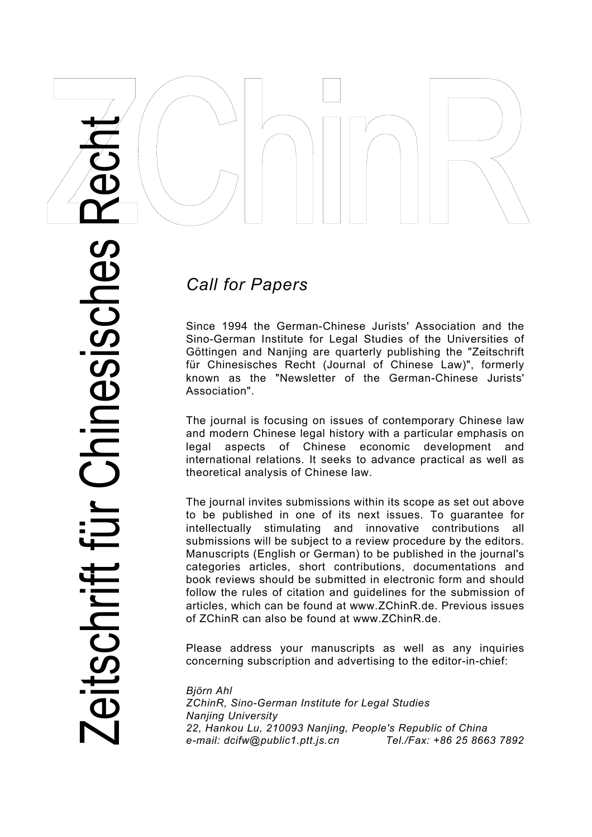

# *Call for Papers*

Since 1994 the German-Chinese Jurists' Association and the Sino-German Institute for Legal Studies of the Universities of Göttingen and Nanjing are quarterly publishing the "Zeitschrift für Chinesisches Recht (Journal of Chinese Law)", formerly known as the "Newsletter of the German-Chinese Jurists' Association".

The journal is focusing on issues of contemporary Chinese law and modern Chinese legal history with a particular emphasis on legal aspects of Chinese economic development and international relations. It seeks to advance practical as well as theoretical analysis of Chinese law.

The journal invites submissions within its scope as set out above to be published in one of its next issues. To guarantee for intellectually stimulating and innovative contributions all submissions will be subject to a review procedure by the editors. Manuscripts (English or German) to be published in the journal's categories articles, short contributions, documentations and book reviews should be submitted in electronic form and should follow the rules of citation and guidelines for the submission of articles, which can be found at www.ZChinR.de. Previous issues of ZChinR can also be found at www.ZChinR.de.

Please address your manuscripts as well as any inquiries concerning subscription and advertising to the editor-in-chief:

*Björn Ahl ZChinR, Sino-German Institute for Legal Studies Nanjing University 22, Hankou Lu, 210093 Nanjing, People's Republic of China e-mail: dcifw@public1.ptt.js.cn Tel./Fax: +86 25 8663 7892*

Zeitschrift für Chinesisches Recht Chinesisches itschrift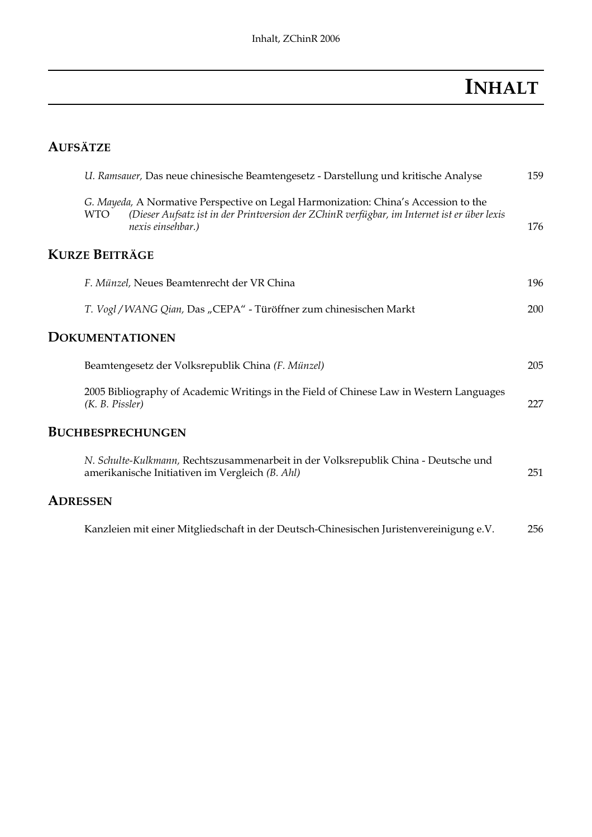# **INHALT**

# **AUFSÄTZE**

|                 | U. Ramsauer, Das neue chinesische Beamtengesetz - Darstellung und kritische Analyse |                                                                                                                                                                                                         | 159 |
|-----------------|-------------------------------------------------------------------------------------|---------------------------------------------------------------------------------------------------------------------------------------------------------------------------------------------------------|-----|
|                 | <b>WTO</b>                                                                          | G. Mayeda, A Normative Perspective on Legal Harmonization: China's Accession to the<br>(Dieser Aufsatz ist in der Printversion der ZChinR verfügbar, im Internet ist er über lexis<br>nexis einsehbar.) | 176 |
|                 | <b>KURZE BEITRÄGE</b>                                                               |                                                                                                                                                                                                         |     |
|                 |                                                                                     | F. Münzel, Neues Beamtenrecht der VR China                                                                                                                                                              | 196 |
|                 |                                                                                     | T. Vogl / WANG Qian, Das "CEPA" - Türöffner zum chinesischen Markt                                                                                                                                      | 200 |
|                 |                                                                                     | <b>DOKUMENTATIONEN</b>                                                                                                                                                                                  |     |
|                 |                                                                                     | Beamtengesetz der Volksrepublik China (F. Münzel)                                                                                                                                                       | 205 |
|                 | (K. B. Pissler)                                                                     | 2005 Bibliography of Academic Writings in the Field of Chinese Law in Western Languages                                                                                                                 | 227 |
|                 |                                                                                     | <b>BUCHBESPRECHUNGEN</b>                                                                                                                                                                                |     |
|                 |                                                                                     | N. Schulte-Kulkmann, Rechtszusammenarbeit in der Volksrepublik China - Deutsche und<br>amerikanische Initiativen im Vergleich (B. Ahl)                                                                  | 251 |
| <b>ADRESSEN</b> |                                                                                     |                                                                                                                                                                                                         |     |
|                 |                                                                                     | Kanzleien mit einer Mitgliedschaft in der Deutsch-Chinesischen Juristenvereinigung e.V.                                                                                                                 | 256 |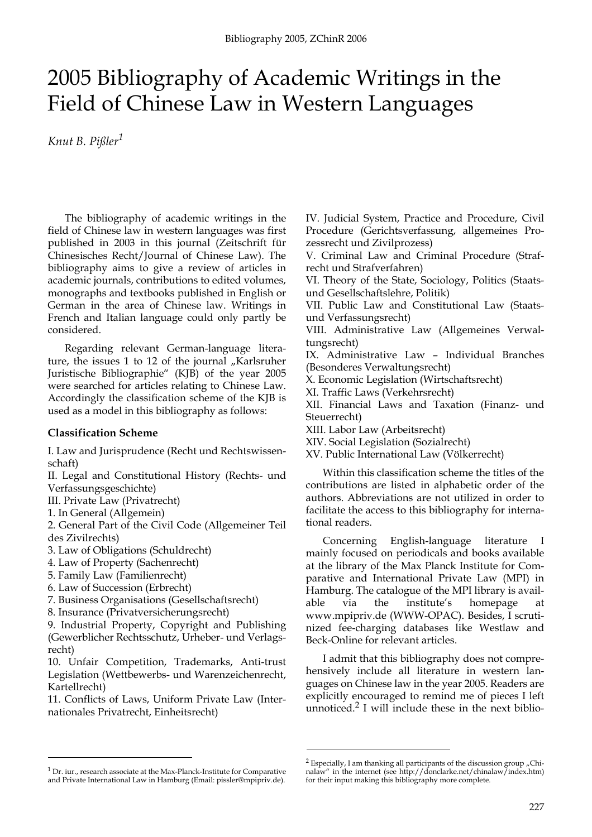# 2005 Bibliography of Academic Writings in the Field of Chinese Law in Western Languages

*Knut B. Pißler1*

The bibliography of academic writings in the field of Chinese law in western languages was first published in 2003 in this journal (Zeitschrift für Chinesisches Recht/Journal of Chinese Law). The bibliography aims to give a review of articles in academic journals, contributions to edited volumes, monographs and textbooks published in English or German in the area of Chinese law. Writings in French and Italian language could only partly be considered.

Regarding relevant German-language literature, the issues 1 to 12 of the journal  $\mathsf{N}$ Karlsruher Juristische Bibliographie" (KJB) of the year 2005 were searched for articles relating to Chinese Law. Accordingly the classification scheme of the KJB is used as a model in this bibliography as follows:

# **Classification Scheme**

I. Law and Jurisprudence (Recht und Rechtswissenschaft)

II. Legal and Constitutional History (Rechts- und Verfassungsgeschichte)

III. Private Law (Privatrecht)

1. In General (Allgemein)

2. General Part of the Civil Code (Allgemeiner Teil des Zivilrechts)

3. Law of Obligations (Schuldrecht)

4. Law of Property (Sachenrecht)

5. Family Law (Familienrecht)

6. Law of Succession (Erbrecht)

7. Business Organisations (Gesellschaftsrecht)

8. Insurance (Privatversicherungsrecht)

9. Industrial Property, Copyright and Publishing (Gewerblicher Rechtsschutz, Urheber- und Verlagsrecht)

10. Unfair Competition, Trademarks, Anti-trust Legislation (Wettbewerbs- und Warenzeichenrecht, Kartellrecht)

11. Conflicts of Laws, Uniform Private Law (Internationales Privatrecht, Einheitsrecht)

IV. Judicial System, Practice and Procedure, Civil Procedure (Gerichtsverfassung, allgemeines Prozessrecht und Zivilprozess)

V. Criminal Law and Criminal Procedure (Strafrecht und Strafverfahren)

VI. Theory of the State, Sociology, Politics (Staatsund Gesellschaftslehre, Politik)

VII. Public Law and Constitutional Law (Staatsund Verfassungsrecht)

VIII. Administrative Law (Allgemeines Verwaltungsrecht)

IX. Administrative Law – Individual Branches (Besonderes Verwaltungsrecht)

X. Economic Legislation (Wirtschaftsrecht)

XI. Traffic Laws (Verkehrsrecht)

XII. Financial Laws and Taxation (Finanz- und Steuerrecht)

XIII. Labor Law (Arbeitsrecht)

XIV. Social Legislation (Sozialrecht)

XV. Public International Law (Völkerrecht)

Within this classification scheme the titles of the contributions are listed in alphabetic order of the authors. Abbreviations are not utilized in order to facilitate the access to this bibliography for international readers.

Concerning English-language literature I mainly focused on periodicals and books available at the library of the Max Planck Institute for Comparative and International Private Law (MPI) in Hamburg. The catalogue of the MPI library is available via the institute's homepage at www.mpipriv.de (WWW-OPAC). Besides, I scrutinized fee-charging databases like Westlaw and Beck-Online for relevant articles.

I admit that this bibliography does not comprehensively include all literature in western languages on Chinese law in the year 2005. Readers are explicitly encouraged to remind me of pieces I left unnoticed.<sup>2</sup> I will include these in the next biblio-

 $^1$  Dr. iur., research associate at the Max-Planck-Institute for Comparative and Private International Law in Hamburg (Email: pissler@mpipriv.de).

 $2$  Especially, I am thanking all participants of the discussion group "Chinalaw" in the internet (see http://donclarke.net/chinalaw/index.htm) for their input making this bibliography more complete.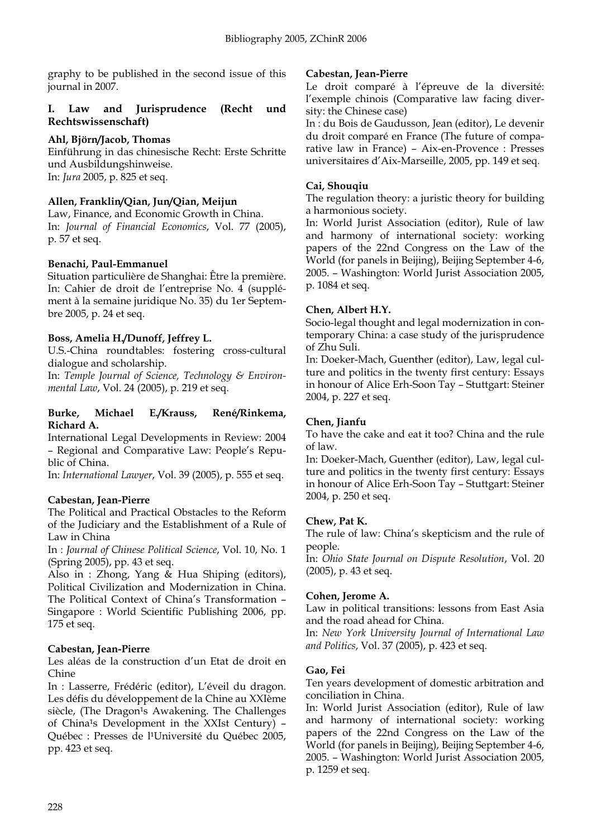graphy to be published in the second issue of this journal in 2007.

#### **I. Law and Jurisprudence (Recht und Rechtswissenschaft)**

# **Ahl, Björn/Jacob, Thomas**

Einführung in das chinesische Recht: Erste Schritte und Ausbildungshinweise. In: *Jura* 2005, p. 825 et seq.

# **Allen, Franklin/Qian, Jun/Qian, Meijun**

Law, Finance, and Economic Growth in China. In: *Journal of Financial Economics*, Vol. 77 (2005), p. 57 et seq.

# **Benachi, Paul-Emmanuel**

Situation particulière de Shanghai: Être la première. In: Cahier de droit de l'entreprise No. 4 (supplément à la semaine juridique No. 35) du 1er Septembre 2005, p. 24 et seq.

# **Boss, Amelia H./Dunoff, Jeffrey L.**

U.S.-China roundtables: fostering cross-cultural dialogue and scholarship.

In: *Temple Journal of Science, Technology & Environmental Law*, Vol. 24 (2005), p. 219 et seq.

#### **Burke, Michael E./Krauss, René/Rinkema, Richard A.**

International Legal Developments in Review: 2004 – Regional and Comparative Law: People's Republic of China.

In: *International Lawyer*, Vol. 39 (2005), p. 555 et seq.

# **Cabestan, Jean-Pierre**

The Political and Practical Obstacles to the Reform of the Judiciary and the Establishment of a Rule of Law in China

In : *Journal of Chinese Political Science*, Vol. 10, No. 1 (Spring 2005), pp. 43 et seq.

Also in : Zhong, Yang & Hua Shiping (editors), Political Civilization and Modernization in China. The Political Context of China's Transformation – Singapore : World Scientific Publishing 2006, pp. 175 et seq.

# **Cabestan, Jean-Pierre**

Les aléas de la construction d'un Etat de droit en Chine

In : Lasserre, Frédéric (editor), L'éveil du dragon. Les défis du développement de la Chine au XXIème siècle, (The Dragon<sup>1</sup>s Awakening. The Challenges of China<sup>1</sup>s Development in the XXIst Century) -Québec : Presses de l<sup>1</sup>Université du Québec 2005, pp. 423 et seq.

# **Cabestan, Jean-Pierre**

Le droit comparé à l'épreuve de la diversité: l'exemple chinois (Comparative law facing diversity: the Chinese case)

In : du Bois de Gaudusson, Jean (editor), Le devenir du droit comparé en France (The future of comparative law in France) – Aix-en-Provence : Presses universitaires d'Aix-Marseille, 2005, pp. 149 et seq.

# **Cai, Shouqiu**

The regulation theory: a juristic theory for building a harmonious society.

In: World Jurist Association (editor), Rule of law and harmony of international society: working papers of the 22nd Congress on the Law of the World (for panels in Beijing), Beijing September 4-6, 2005. – Washington: World Jurist Association 2005, p. 1084 et seq.

# **Chen, Albert H.Y.**

Socio-legal thought and legal modernization in contemporary China: a case study of the jurisprudence of Zhu Suli.

In: Doeker-Mach, Guenther (editor), Law, legal culture and politics in the twenty first century: Essays in honour of Alice Erh-Soon Tay – Stuttgart: Steiner 2004, p. 227 et seq.

# **Chen, Jianfu**

To have the cake and eat it too? China and the rule of law.

In: Doeker-Mach, Guenther (editor), Law, legal culture and politics in the twenty first century: Essays in honour of Alice Erh-Soon Tay – Stuttgart: Steiner 2004, p. 250 et seq.

# **Chew, Pat K.**

The rule of law: China's skepticism and the rule of people.

In: *Ohio State Journal on Dispute Resolution*, Vol. 20 (2005), p. 43 et seq.

# **Cohen, Jerome A.**

Law in political transitions: lessons from East Asia and the road ahead for China.

In: *New York University Journal of International Law and Politics*, Vol. 37 (2005), p. 423 et seq.

# **Gao, Fei**

Ten years development of domestic arbitration and conciliation in China.

In: World Jurist Association (editor), Rule of law and harmony of international society: working papers of the 22nd Congress on the Law of the World (for panels in Beijing), Beijing September 4-6, 2005. – Washington: World Jurist Association 2005, p. 1259 et seq.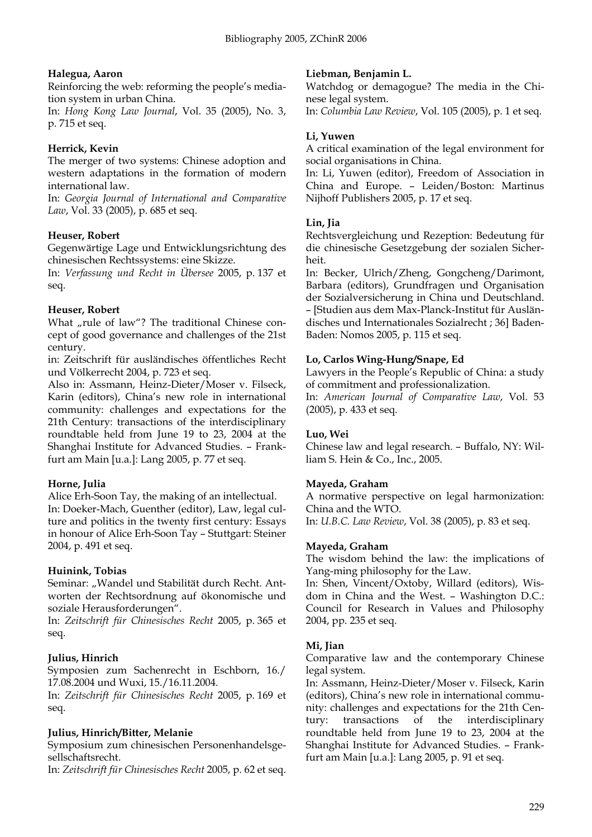# **Halegua, Aaron**

Reinforcing the web: reforming the people's mediation system in urban China.

In: *Hong Kong Law Journal*, Vol. 35 (2005), No. 3, p. 715 et seq.

# **Herrick, Kevin**

The merger of two systems: Chinese adoption and western adaptations in the formation of modern international law.

In: *Georgia Journal of International and Comparative Law*, Vol. 33 (2005), p. 685 et seq.

# **Heuser, Robert**

Gegenwärtige Lage und Entwicklungsrichtung des chinesischen Rechtssystems: eine Skizze.

In: *Verfassung und Recht in Übersee* 2005, p. 137 et seq.

# **Heuser, Robert**

What "rule of law"? The traditional Chinese concept of good governance and challenges of the 21st century.

in: Zeitschrift für ausländisches öffentliches Recht und Völkerrecht 2004, p. 723 et seq.

Also in: Assmann, Heinz-Dieter/Moser v. Filseck, Karin (editors), China's new role in international community: challenges and expectations for the 21th Century: transactions of the interdisciplinary roundtable held from June 19 to 23, 2004 at the Shanghai Institute for Advanced Studies. – Frankfurt am Main [u.a.]: Lang 2005, p. 77 et seq.

# **Horne, Julia**

Alice Erh-Soon Tay, the making of an intellectual. In: Doeker-Mach, Guenther (editor), Law, legal culture and politics in the twenty first century: Essays in honour of Alice Erh-Soon Tay – Stuttgart: Steiner 2004, p. 491 et seq.

# **Huinink, Tobias**

Seminar: "Wandel und Stabilität durch Recht. Antworten der Rechtsordnung auf ökonomische und soziale Herausforderungen".

In: *Zeitschrift für Chinesisches Recht* 2005, p. 365 et seq.

# **Julius, Hinrich**

Symposien zum Sachenrecht in Eschborn, 16./ 17.08.2004 und Wuxi, 15./16.11.2004.

In: *Zeitschrift für Chinesisches Recht* 2005, p. 169 et seq.

# **Julius, Hinrich/Bitter, Melanie**

Symposium zum chinesischen Personenhandelsgesellschaftsrecht.

In: *Zeitschrift für Chinesisches Recht* 2005, p. 62 et seq.

# **Liebman, Benjamin L.**

Watchdog or demagogue? The media in the Chinese legal system.

In: *Columbia Law Review*, Vol. 105 (2005), p. 1 et seq.

#### **Li, Yuwen**

A critical examination of the legal environment for social organisations in China.

In: Li, Yuwen (editor), Freedom of Association in China and Europe. – Leiden/Boston: Martinus Nijhoff Publishers 2005, p. 17 et seq.

#### **Lin, Jia**

Rechtsvergleichung und Rezeption: Bedeutung für die chinesische Gesetzgebung der sozialen Sicherheit.

In: Becker, Ulrich/Zheng, Gongcheng/Darimont, Barbara (editors), Grundfragen und Organisation der Sozialversicherung in China und Deutschland. – [Studien aus dem Max-Planck-Institut für Ausländisches und Internationales Sozialrecht ; 36] Baden-Baden: Nomos 2005, p. 115 et seq.

# **Lo, Carlos Wing-Hung/Snape, Ed**

Lawyers in the People's Republic of China: a study of commitment and professionalization.

In: *American Journal of Comparative Law*, Vol. 53 (2005), p. 433 et seq.

# **Luo, Wei**

Chinese law and legal research. – Buffalo, NY: William S. Hein & Co., Inc., 2005.

# **Mayeda, Graham**

A normative perspective on legal harmonization: China and the WTO. In: *U.B.C. Law Review*, Vol. 38 (2005), p. 83 et seq.

#### **Mayeda, Graham**

The wisdom behind the law: the implications of Yang-ming philosophy for the Law.

In: Shen, Vincent/Oxtoby, Willard (editors), Wisdom in China and the West. – Washington D.C.: Council for Research in Values and Philosophy 2004, pp. 235 et seq.

# **Mi, Jian**

Comparative law and the contemporary Chinese legal system.

In: Assmann, Heinz-Dieter/Moser v. Filseck, Karin (editors), China's new role in international community: challenges and expectations for the 21th Century: transactions of the interdisciplinary roundtable held from June 19 to 23, 2004 at the Shanghai Institute for Advanced Studies. – Frankfurt am Main [u.a.]: Lang 2005, p. 91 et seq.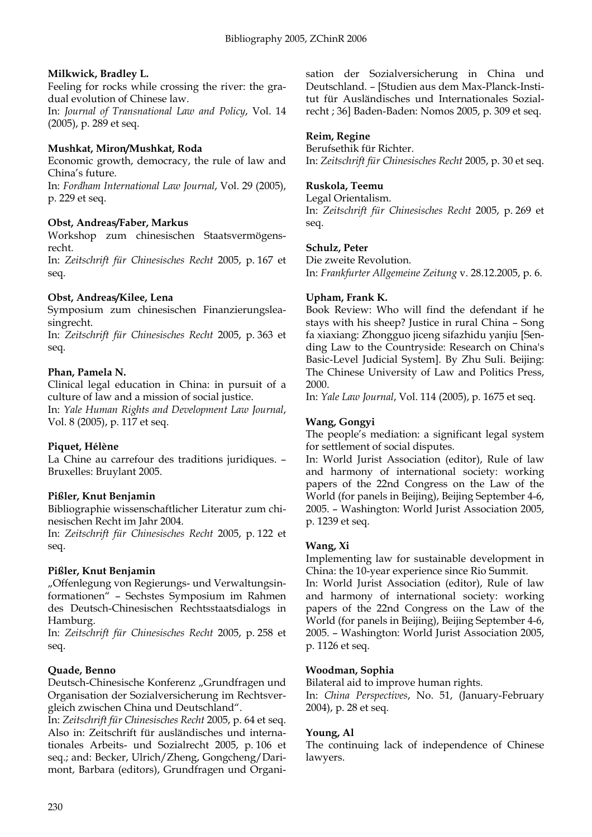# **Milkwick, Bradley L.**

Feeling for rocks while crossing the river: the gradual evolution of Chinese law.

In: *Journal of Transnational Law and Policy*, Vol. 14 (2005), p. 289 et seq.

#### **Mushkat, Miron/Mushkat, Roda**

Economic growth, democracy, the rule of law and China's future.

In: *Fordham International Law Journal*, Vol. 29 (2005), p. 229 et seq.

#### **Obst, Andreas/Faber, Markus**

Workshop zum chinesischen Staatsvermögensrecht.

In: *Zeitschrift für Chinesisches Recht* 2005, p. 167 et seq.

#### **Obst, Andreas/Kilee, Lena**

Symposium zum chinesischen Finanzierungsleasingrecht.

In: *Zeitschrift für Chinesisches Recht* 2005, p. 363 et seq.

#### **Phan, Pamela N.**

Clinical legal education in China: in pursuit of a culture of law and a mission of social justice.

In: *Yale Human Rights and Development Law Journal*, Vol. 8 (2005), p. 117 et seq.

# **Piquet, Hélène**

La Chine au carrefour des traditions juridiques. – Bruxelles: Bruylant 2005.

#### **Pißler, Knut Benjamin**

Bibliographie wissenschaftlicher Literatur zum chinesischen Recht im Jahr 2004.

In: *Zeitschrift für Chinesisches Recht* 2005, p. 122 et seq.

# **Pißler, Knut Benjamin**

"Offenlegung von Regierungs- und Verwaltungsinformationen" – Sechstes Symposium im Rahmen des Deutsch-Chinesischen Rechtsstaatsdialogs in Hamburg.

In: *Zeitschrift für Chinesisches Recht* 2005, p. 258 et seq.

# **Quade, Benno**

Deutsch-Chinesische Konferenz "Grundfragen und Organisation der Sozialversicherung im Rechtsvergleich zwischen China und Deutschland".

In: *Zeitschrift für Chinesisches Recht* 2005, p. 64 et seq. Also in: Zeitschrift für ausländisches und internationales Arbeits- und Sozialrecht 2005, p. 106 et seq.; and: Becker, Ulrich/Zheng, Gongcheng/Darimont, Barbara (editors), Grundfragen und Organisation der Sozialversicherung in China und Deutschland. – [Studien aus dem Max-Planck-Institut für Ausländisches und Internationales Sozialrecht ; 36] Baden-Baden: Nomos 2005, p. 309 et seq.

#### **Reim, Regine**

Berufsethik für Richter. In: *Zeitschrift für Chinesisches Recht* 2005, p. 30 et seq.

#### **Ruskola, Teemu**

Legal Orientalism. In: *Zeitschrift für Chinesisches Recht* 2005, p. 269 et seq.

# **Schulz, Peter**

Die zweite Revolution.

In: *Frankfurter Allgemeine Zeitung* v. 28.12.2005, p. 6.

# **Upham, Frank K.**

Book Review: Who will find the defendant if he stays with his sheep? Justice in rural China – Song fa xiaxiang: Zhongguo jiceng sifazhidu yanjiu [Sending Law to the Countryside: Research on China's Basic-Level Judicial System]. By Zhu Suli. Beijing: The Chinese University of Law and Politics Press, 2000.

In: *Yale Law Journal*, Vol. 114 (2005), p. 1675 et seq.

#### **Wang, Gongyi**

The people's mediation: a significant legal system for settlement of social disputes.

In: World Jurist Association (editor), Rule of law and harmony of international society: working papers of the 22nd Congress on the Law of the World (for panels in Beijing), Beijing September 4-6, 2005. – Washington: World Jurist Association 2005, p. 1239 et seq.

#### **Wang, Xi**

Implementing law for sustainable development in China: the 10-year experience since Rio Summit.

In: World Jurist Association (editor), Rule of law and harmony of international society: working papers of the 22nd Congress on the Law of the World (for panels in Beijing), Beijing September 4-6, 2005. – Washington: World Jurist Association 2005, p. 1126 et seq.

#### **Woodman, Sophia**

Bilateral aid to improve human rights.

In: *China Perspectives*, No. 51, (January-February 2004), p. 28 et seq.

# **Young, Al**

The continuing lack of independence of Chinese lawyers.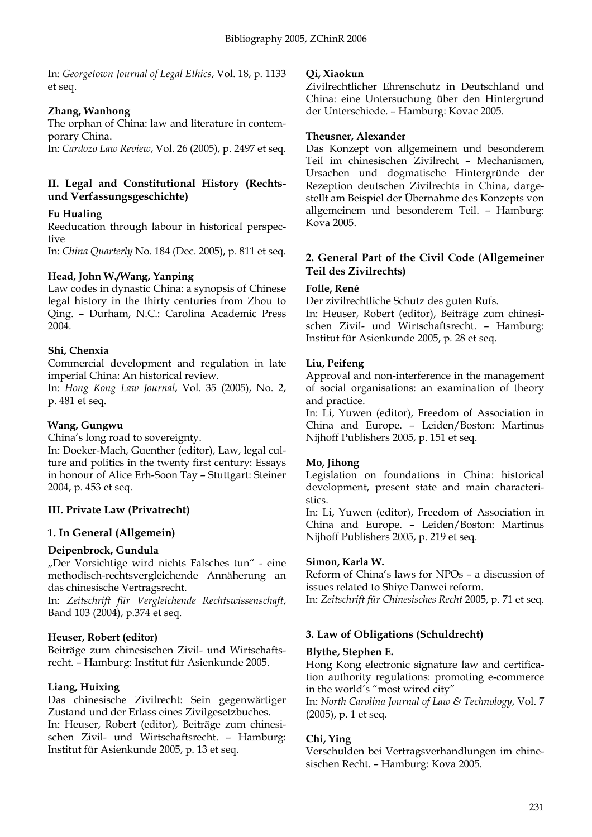In: *Georgetown Journal of Legal Ethics*, Vol. 18, p. 1133 et seq.

# **Zhang, Wanhong**

The orphan of China: law and literature in contemporary China.

In: *Cardozo Law Review*, Vol. 26 (2005), p. 2497 et seq.

# **II. Legal and Constitutional History (Rechtsund Verfassungsgeschichte)**

# **Fu Hualing**

Reeducation through labour in historical perspective

In: *China Quarterly* No. 184 (Dec. 2005), p. 811 et seq.

# **Head, John W./Wang, Yanping**

Law codes in dynastic China: a synopsis of Chinese legal history in the thirty centuries from Zhou to Qing. – Durham, N.C.: Carolina Academic Press 2004.

# **Shi, Chenxia**

Commercial development and regulation in late imperial China: An historical review.

In: *Hong Kong Law Journal*, Vol. 35 (2005), No. 2, p. 481 et seq.

# **Wang, Gungwu**

China's long road to sovereignty.

In: Doeker-Mach, Guenther (editor), Law, legal culture and politics in the twenty first century: Essays in honour of Alice Erh-Soon Tay – Stuttgart: Steiner 2004, p. 453 et seq.

# **III. Private Law (Privatrecht)**

# **1. In General (Allgemein)**

# **Deipenbrock, Gundula**

"Der Vorsichtige wird nichts Falsches tun" - eine methodisch-rechtsvergleichende Annäherung an das chinesische Vertragsrecht.

In: *Zeitschrift für Vergleichende Rechtswissenschaft*, Band 103 (2004), p.374 et seq.

# **Heuser, Robert (editor)**

Beiträge zum chinesischen Zivil- und Wirtschaftsrecht. – Hamburg: Institut für Asienkunde 2005.

# **Liang, Huixing**

Das chinesische Zivilrecht: Sein gegenwärtiger Zustand und der Erlass eines Zivilgesetzbuches. In: Heuser, Robert (editor), Beiträge zum chinesischen Zivil- und Wirtschaftsrecht. – Hamburg: Institut für Asienkunde 2005, p. 13 et seq.

# **Qi, Xiaokun**

Zivilrechtlicher Ehrenschutz in Deutschland und China: eine Untersuchung über den Hintergrund der Unterschiede. – Hamburg: Kovac 2005.

# **Theusner, Alexander**

Das Konzept von allgemeinem und besonderem Teil im chinesischen Zivilrecht – Mechanismen, Ursachen und dogmatische Hintergründe der Rezeption deutschen Zivilrechts in China, dargestellt am Beispiel der Übernahme des Konzepts von allgemeinem und besonderem Teil. – Hamburg: Kova 2005.

# **2. General Part of the Civil Code (Allgemeiner Teil des Zivilrechts)**

# **Folle, René**

Der zivilrechtliche Schutz des guten Rufs.

In: Heuser, Robert (editor), Beiträge zum chinesischen Zivil- und Wirtschaftsrecht. – Hamburg: Institut für Asienkunde 2005, p. 28 et seq.

# **Liu, Peifeng**

Approval and non-interference in the management of social organisations: an examination of theory and practice.

In: Li, Yuwen (editor), Freedom of Association in China and Europe. – Leiden/Boston: Martinus Nijhoff Publishers 2005, p. 151 et seq.

# **Mo, Jihong**

Legislation on foundations in China: historical development, present state and main characteristics.

In: Li, Yuwen (editor), Freedom of Association in China and Europe. – Leiden/Boston: Martinus Nijhoff Publishers 2005, p. 219 et seq.

# **Simon, Karla W.**

Reform of China's laws for NPOs – a discussion of issues related to Shiye Danwei reform. In: *Zeitschrift für Chinesisches Recht* 2005, p. 71 et seq.

# **3. Law of Obligations (Schuldrecht)**

# **Blythe, Stephen E.**

Hong Kong electronic signature law and certification authority regulations: promoting e-commerce in the world's "most wired city"

In: *North Carolina Journal of Law & Technology*, Vol. 7 (2005), p. 1 et seq.

# **Chi, Ying**

Verschulden bei Vertragsverhandlungen im chinesischen Recht. – Hamburg: Kova 2005.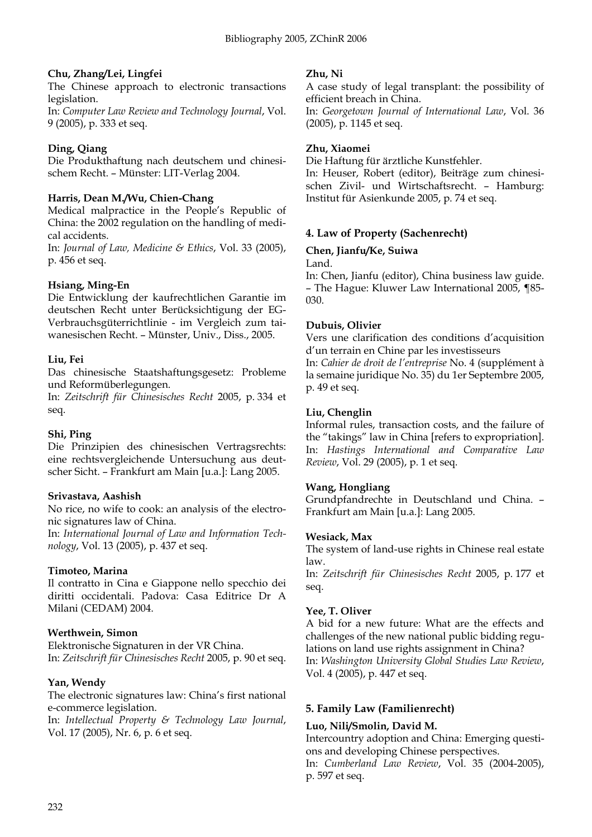# **Chu, Zhang/Lei, Lingfei**

The Chinese approach to electronic transactions legislation.

In: *Computer Law Review and Technology Journal*, Vol. 9 (2005), p. 333 et seq.

# **Ding, Qiang**

Die Produkthaftung nach deutschem und chinesischem Recht. – Münster: LIT-Verlag 2004.

# **Harris, Dean M./Wu, Chien-Chang**

Medical malpractice in the People's Republic of China: the 2002 regulation on the handling of medical accidents.

In: *Journal of Law, Medicine & Ethics*, Vol. 33 (2005), p. 456 et seq.

# **Hsiang, Ming-En**

Die Entwicklung der kaufrechtlichen Garantie im deutschen Recht unter Berücksichtigung der EG-Verbrauchsgüterrichtlinie - im Vergleich zum taiwanesischen Recht. – Münster, Univ., Diss., 2005.

# **Liu, Fei**

Das chinesische Staatshaftungsgesetz: Probleme und Reformüberlegungen.

In: *Zeitschrift für Chinesisches Recht* 2005, p. 334 et seq.

# **Shi, Ping**

Die Prinzipien des chinesischen Vertragsrechts: eine rechtsvergleichende Untersuchung aus deutscher Sicht. – Frankfurt am Main [u.a.]: Lang 2005.

# **Srivastava, Aashish**

No rice, no wife to cook: an analysis of the electronic signatures law of China.

In: *International Journal of Law and Information Technology*, Vol. 13 (2005), p. 437 et seq.

# **Timoteo, Marina**

Il contratto in Cina e Giappone nello specchio dei diritti occidentali. Padova: Casa Editrice Dr A Milani (CEDAM) 2004.

# **Werthwein, Simon**

Elektronische Signaturen in der VR China. In: *Zeitschrift für Chinesisches Recht* 2005, p. 90 et seq.

# **Yan, Wendy**

The electronic signatures law: China's first national e-commerce legislation.

In: *Intellectual Property & Technology Law Journal*, Vol. 17 (2005), Nr. 6, p. 6 et seq.

# **Zhu, Ni**

A case study of legal transplant: the possibility of efficient breach in China.

In: *Georgetown Journal of International Law*, Vol. 36 (2005), p. 1145 et seq.

# **Zhu, Xiaomei**

Die Haftung für ärztliche Kunstfehler.

In: Heuser, Robert (editor), Beiträge zum chinesischen Zivil- und Wirtschaftsrecht. – Hamburg: Institut für Asienkunde 2005, p. 74 et seq.

# **4. Law of Property (Sachenrecht)**

# **Chen, Jianfu/Ke, Suiwa**

Land.

In: Chen, Jianfu (editor), China business law guide. – The Hague: Kluwer Law International 2005, ¶85- 030.

# **Dubuis, Olivier**

Vers une clarification des conditions d'acquisition d'un terrain en Chine par les investisseurs In: *Cahier de droit de l'entreprise* No. 4 (supplément à la semaine juridique No. 35) du 1er Septembre 2005, p. 49 et seq.

# **Liu, Chenglin**

Informal rules, transaction costs, and the failure of the "takings" law in China [refers to expropriation]. In: *Hastings International and Comparative Law Review*, Vol. 29 (2005), p. 1 et seq.

# **Wang, Hongliang**

Grundpfandrechte in Deutschland und China. – Frankfurt am Main [u.a.]: Lang 2005.

# **Wesiack, Max**

The system of land-use rights in Chinese real estate law.

In: *Zeitschrift für Chinesisches Recht* 2005, p. 177 et seq.

# **Yee, T. Oliver**

A bid for a new future: What are the effects and challenges of the new national public bidding regulations on land use rights assignment in China? In: *Washington University Global Studies Law Review*, Vol. 4 (2005), p. 447 et seq.

# **5. Family Law (Familienrecht)**

# **Luo, Nili/Smolin, David M.**

Intercountry adoption and China: Emerging questions and developing Chinese perspectives.

In: *Cumberland Law Review*, Vol. 35 (2004-2005), p. 597 et seq.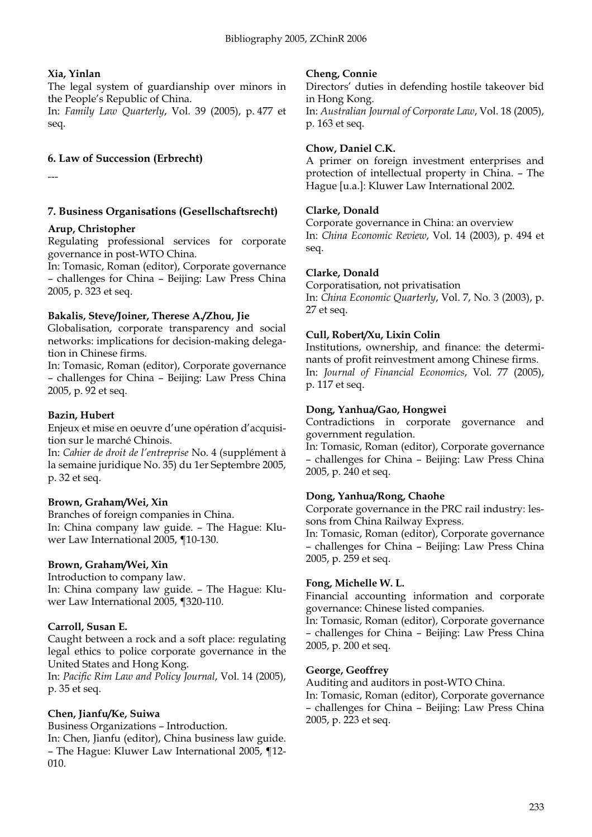# **Xia, Yinlan**

The legal system of guardianship over minors in the People's Republic of China.

In: *Family Law Quarterly*, Vol. 39 (2005), p. 477 et seq.

# **6. Law of Succession (Erbrecht)**

---

# **7. Business Organisations (Gesellschaftsrecht)**

# **Arup, Christopher**

Regulating professional services for corporate governance in post-WTO China.

In: Tomasic, Roman (editor), Corporate governance – challenges for China – Beijing: Law Press China 2005, p. 323 et seq.

# **Bakalis, Steve/Joiner, Therese A./Zhou, Jie**

Globalisation, corporate transparency and social networks: implications for decision-making delegation in Chinese firms.

In: Tomasic, Roman (editor), Corporate governance – challenges for China – Beijing: Law Press China 2005, p. 92 et seq.

# **Bazin, Hubert**

Enjeux et mise en oeuvre d'une opération d'acquisition sur le marché Chinois.

In: *Cahier de droit de l'entreprise* No. 4 (supplément à la semaine juridique No. 35) du 1er Septembre 2005, p. 32 et seq.

# **Brown, Graham/Wei, Xin**

Branches of foreign companies in China. In: China company law guide. – The Hague: Kluwer Law International 2005, ¶10-130.

# **Brown, Graham/Wei, Xin**

Introduction to company law. In: China company law guide. – The Hague: Kluwer Law International 2005, ¶320-110.

# **Carroll, Susan E.**

Caught between a rock and a soft place: regulating legal ethics to police corporate governance in the United States and Hong Kong.

In: *Pacific Rim Law and Policy Journal*, Vol. 14 (2005), p. 35 et seq.

# **Chen, Jianfu/Ke, Suiwa**

Business Organizations – Introduction. In: Chen, Jianfu (editor), China business law guide. – The Hague: Kluwer Law International 2005, ¶12- 010.

# **Cheng, Connie**

Directors' duties in defending hostile takeover bid in Hong Kong. In: *Australian Journal of Corporate Law*, Vol. 18 (2005), p. 163 et seq.

# **Chow, Daniel C.K.**

A primer on foreign investment enterprises and protection of intellectual property in China. – The Hague [u.a.]: Kluwer Law International 2002.

# **Clarke, Donald**

Corporate governance in China: an overview In: *China Economic Review*, Vol. 14 (2003), p. 494 et seq.

# **Clarke, Donald**

Corporatisation, not privatisation In: *China Economic Quarterly*, Vol. 7, No. 3 (2003), p. 27 et seq.

# **Cull, Robert/Xu, Lixin Colin**

Institutions, ownership, and finance: the determinants of profit reinvestment among Chinese firms. In: *Journal of Financial Economics*, Vol. 77 (2005), p. 117 et seq.

# **Dong, Yanhua/Gao, Hongwei**

Contradictions in corporate governance and government regulation.

In: Tomasic, Roman (editor), Corporate governance – challenges for China – Beijing: Law Press China 2005, p. 240 et seq.

# **Dong, Yanhua/Rong, Chaohe**

Corporate governance in the PRC rail industry: lessons from China Railway Express.

In: Tomasic, Roman (editor), Corporate governance – challenges for China – Beijing: Law Press China 2005, p. 259 et seq.

# **Fong, Michelle W. L.**

Financial accounting information and corporate governance: Chinese listed companies.

In: Tomasic, Roman (editor), Corporate governance – challenges for China – Beijing: Law Press China 2005, p. 200 et seq.

# **George, Geoffrey**

Auditing and auditors in post-WTO China.

In: Tomasic, Roman (editor), Corporate governance – challenges for China – Beijing: Law Press China 2005, p. 223 et seq.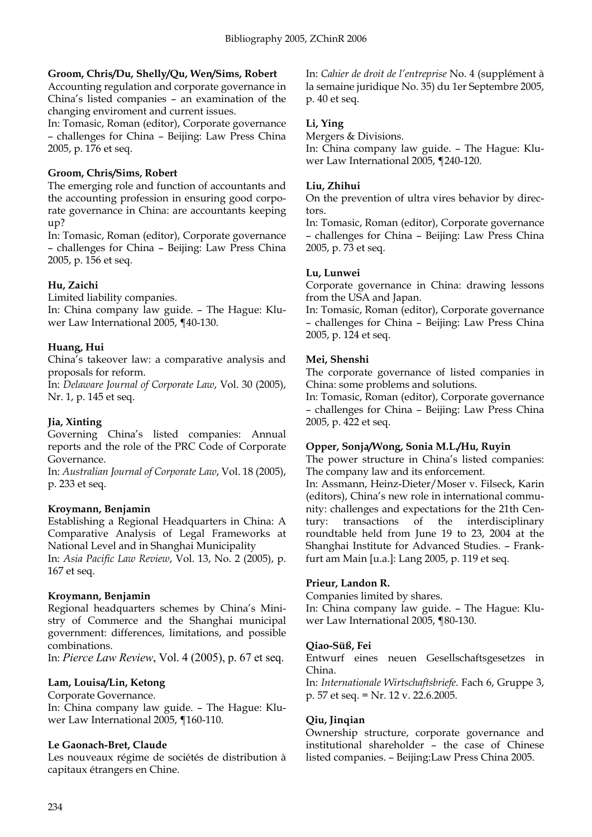#### **Groom, Chris/Du, Shelly/Qu, Wen/Sims, Robert**

Accounting regulation and corporate governance in China's listed companies – an examination of the changing enviroment and current issues.

In: Tomasic, Roman (editor), Corporate governance – challenges for China – Beijing: Law Press China 2005, p. 176 et seq.

# **Groom, Chris/Sims, Robert**

The emerging role and function of accountants and the accounting profession in ensuring good corporate governance in China: are accountants keeping up?

In: Tomasic, Roman (editor), Corporate governance – challenges for China – Beijing: Law Press China 2005, p. 156 et seq.

# **Hu, Zaichi**

Limited liability companies.

In: China company law guide. – The Hague: Kluwer Law International 2005, ¶40-130.

# **Huang, Hui**

China's takeover law: a comparative analysis and proposals for reform.

In: *Delaware Journal of Corporate Law*, Vol. 30 (2005), Nr. 1, p. 145 et seq.

# **Jia, Xinting**

Governing China's listed companies: Annual reports and the role of the PRC Code of Corporate Governance.

In: *Australian Journal of Corporate Law*, Vol. 18 (2005), p. 233 et seq.

# **Kroymann, Benjamin**

Establishing a Regional Headquarters in China: A Comparative Analysis of Legal Frameworks at National Level and in Shanghai Municipality

In: *Asia Pacific Law Review*, Vol. 13, No. 2 (2005), p. 167 et seq.

# **Kroymann, Benjamin**

Regional headquarters schemes by China's Ministry of Commerce and the Shanghai municipal government: differences, limitations, and possible combinations.

In: *Pierce Law Review*, Vol. 4 (2005), p. 67 et seq.

# **Lam, Louisa/Lin, Ketong**

Corporate Governance.

In: China company law guide. – The Hague: Kluwer Law International 2005, ¶160-110.

# **Le Gaonach-Bret, Claude**

Les nouveaux régime de sociétés de distribution à capitaux étrangers en Chine.

In: *Cahier de droit de l'entreprise* No. 4 (supplément à la semaine juridique No. 35) du 1er Septembre 2005, p. 40 et seq.

# **Li, Ying**

Mergers & Divisions.

In: China company law guide. – The Hague: Kluwer Law International 2005, ¶240-120.

# **Liu, Zhihui**

On the prevention of ultra vires behavior by directors.

In: Tomasic, Roman (editor), Corporate governance – challenges for China – Beijing: Law Press China 2005, p. 73 et seq.

# **Lu, Lunwei**

Corporate governance in China: drawing lessons from the USA and Japan.

In: Tomasic, Roman (editor), Corporate governance – challenges for China – Beijing: Law Press China 2005, p. 124 et seq.

# **Mei, Shenshi**

The corporate governance of listed companies in China: some problems and solutions.

In: Tomasic, Roman (editor), Corporate governance – challenges for China – Beijing: Law Press China 2005, p. 422 et seq.

# **Opper, Sonja/Wong, Sonia M.L./Hu, Ruyin**

The power structure in China's listed companies: The company law and its enforcement.

In: Assmann, Heinz-Dieter/Moser v. Filseck, Karin (editors), China's new role in international community: challenges and expectations for the 21th Century: transactions of the interdisciplinary roundtable held from June 19 to 23, 2004 at the Shanghai Institute for Advanced Studies. – Frankfurt am Main [u.a.]: Lang 2005, p. 119 et seq.

# **Prieur, Landon R.**

Companies limited by shares. In: China company law guide. – The Hague: Kluwer Law International 2005, ¶80-130.

# **Qiao-Süß, Fei**

Entwurf eines neuen Gesellschaftsgesetzes in China.

In: *Internationale Wirtschaftsbriefe*. Fach 6, Gruppe 3, p. 57 et seq. = Nr. 12 v. 22.6.2005.

# **Qiu, Jinqian**

Ownership structure, corporate governance and institutional shareholder – the case of Chinese listed companies. – Beijing:Law Press China 2005.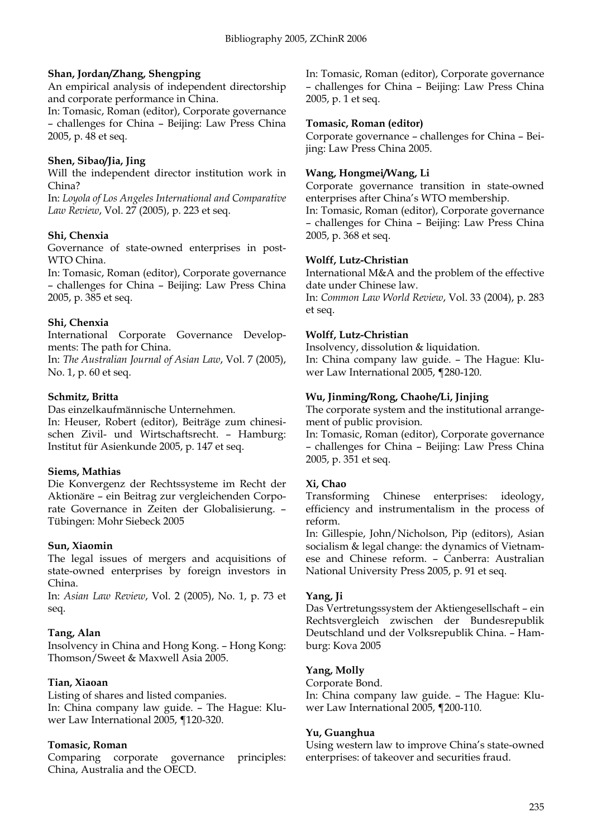# **Shan, Jordan/Zhang, Shengping**

An empirical analysis of independent directorship and corporate performance in China.

In: Tomasic, Roman (editor), Corporate governance – challenges for China – Beijing: Law Press China 2005, p. 48 et seq.

#### **Shen, Sibao/Jia, Jing**

Will the independent director institution work in China?

In: *Loyola of Los Angeles International and Comparative Law Review*, Vol. 27 (2005), p. 223 et seq.

#### **Shi, Chenxia**

Governance of state-owned enterprises in post-WTO China.

In: Tomasic, Roman (editor), Corporate governance – challenges for China – Beijing: Law Press China 2005, p. 385 et seq.

#### **Shi, Chenxia**

International Corporate Governance Developments: The path for China.

In: *The Australian Journal of Asian Law*, Vol. 7 (2005), No. 1, p. 60 et seq.

#### **Schmitz, Britta**

Das einzelkaufmännische Unternehmen.

In: Heuser, Robert (editor), Beiträge zum chinesischen Zivil- und Wirtschaftsrecht. – Hamburg: Institut für Asienkunde 2005, p. 147 et seq.

# **Siems, Mathias**

Die Konvergenz der Rechtssysteme im Recht der Aktionäre – ein Beitrag zur vergleichenden Corporate Governance in Zeiten der Globalisierung. – Tübingen: Mohr Siebeck 2005

# **Sun, Xiaomin**

The legal issues of mergers and acquisitions of state-owned enterprises by foreign investors in China.

In: *Asian Law Review*, Vol. 2 (2005), No. 1, p. 73 et seq.

# **Tang, Alan**

Insolvency in China and Hong Kong. – Hong Kong: Thomson/Sweet & Maxwell Asia 2005.

# **Tian, Xiaoan**

Listing of shares and listed companies.

In: China company law guide. – The Hague: Kluwer Law International 2005, ¶120-320.

#### **Tomasic, Roman**

Comparing corporate governance principles: China, Australia and the OECD.

In: Tomasic, Roman (editor), Corporate governance – challenges for China – Beijing: Law Press China 2005, p. 1 et seq.

#### **Tomasic, Roman (editor)**

Corporate governance – challenges for China – Beijing: Law Press China 2005.

# **Wang, Hongmei/Wang, Li**

Corporate governance transition in state-owned enterprises after China's WTO membership.

In: Tomasic, Roman (editor), Corporate governance – challenges for China – Beijing: Law Press China 2005, p. 368 et seq.

#### **Wolff, Lutz-Christian**

International M&A and the problem of the effective date under Chinese law. In: *Common Law World Review*, Vol. 33 (2004), p. 283 et seq.

#### **Wolff, Lutz-Christian**

Insolvency, dissolution & liquidation. In: China company law guide. – The Hague: Kluwer Law International 2005, ¶280-120.

# **Wu, Jinming/Rong, Chaohe/Li, Jinjing**

The corporate system and the institutional arrangement of public provision.

In: Tomasic, Roman (editor), Corporate governance – challenges for China – Beijing: Law Press China 2005, p. 351 et seq.

# **Xi, Chao**

Transforming Chinese enterprises: ideology, efficiency and instrumentalism in the process of reform.

In: Gillespie, John/Nicholson, Pip (editors), Asian socialism & legal change: the dynamics of Vietnamese and Chinese reform. – Canberra: Australian National University Press 2005, p. 91 et seq.

# **Yang, Ji**

Das Vertretungssystem der Aktiengesellschaft – ein Rechtsvergleich zwischen der Bundesrepublik Deutschland und der Volksrepublik China. – Hamburg: Kova 2005

#### **Yang, Molly**

Corporate Bond.

In: China company law guide. – The Hague: Kluwer Law International 2005, ¶200-110.

#### **Yu, Guanghua**

Using western law to improve China's state-owned enterprises: of takeover and securities fraud.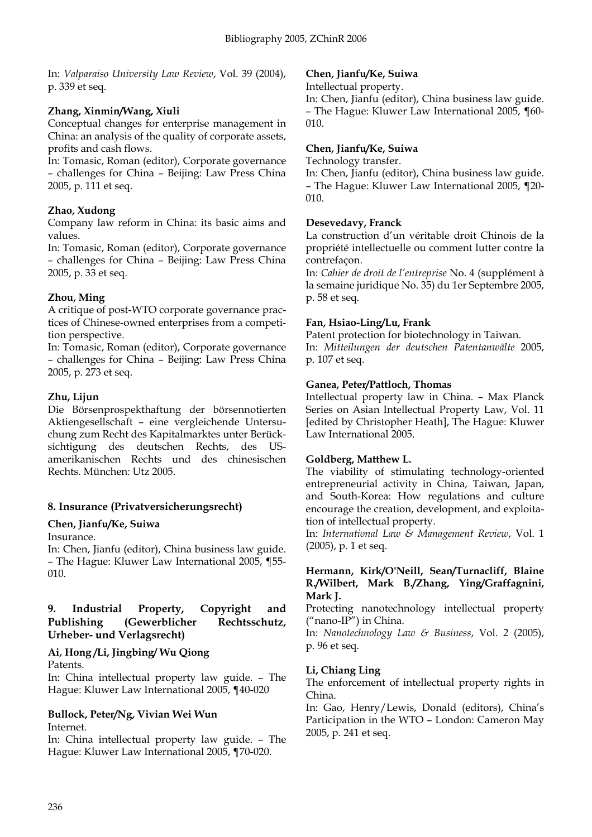In: *Valparaiso University Law Review*, Vol. 39 (2004), p. 339 et seq.

# **Zhang, Xinmin/Wang, Xiuli**

Conceptual changes for enterprise management in China: an analysis of the quality of corporate assets, profits and cash flows.

In: Tomasic, Roman (editor), Corporate governance – challenges for China – Beijing: Law Press China 2005, p. 111 et seq.

# **Zhao, Xudong**

Company law reform in China: its basic aims and values.

In: Tomasic, Roman (editor), Corporate governance – challenges for China – Beijing: Law Press China 2005, p. 33 et seq.

# **Zhou, Ming**

A critique of post-WTO corporate governance practices of Chinese-owned enterprises from a competition perspective.

In: Tomasic, Roman (editor), Corporate governance – challenges for China – Beijing: Law Press China 2005, p. 273 et seq.

# **Zhu, Lijun**

Die Börsenprospekthaftung der börsennotierten Aktiengesellschaft – eine vergleichende Untersuchung zum Recht des Kapitalmarktes unter Berücksichtigung des deutschen Rechts, des USamerikanischen Rechts und des chinesischen Rechts. München: Utz 2005.

# **8. Insurance (Privatversicherungsrecht)**

# **Chen, Jianfu/Ke, Suiwa**

Insurance.

In: Chen, Jianfu (editor), China business law guide. – The Hague: Kluwer Law International 2005, ¶55- 010.

#### **9. Industrial Property, Copyright and Publishing (Gewerblicher Rechtsschutz, Urheber- und Verlagsrecht)**

# **Ai, Hong /Li, Jingbing/ Wu Qiong**

Patents.

In: China intellectual property law guide. – The Hague: Kluwer Law International 2005, ¶40-020

# **Bullock, Peter/Ng, Vivian Wei Wun** Internet.

In: China intellectual property law guide. – The Hague: Kluwer Law International 2005, ¶70-020.

#### **Chen, Jianfu/Ke, Suiwa**

Intellectual property.

In: Chen, Jianfu (editor), China business law guide. – The Hague: Kluwer Law International 2005, ¶60- 010.

# **Chen, Jianfu/Ke, Suiwa**

Technology transfer.

In: Chen, Jianfu (editor), China business law guide. – The Hague: Kluwer Law International 2005, ¶20- 010.

# **Desevedavy, Franck**

La construction d'un véritable droit Chinois de la propriété intellectuelle ou comment lutter contre la contrefaçon.

In: *Cahier de droit de l'entreprise* No. 4 (supplément à la semaine juridique No. 35) du 1er Septembre 2005, p. 58 et seq.

# **Fan, Hsiao-Ling/Lu, Frank**

Patent protection for biotechnology in Taiwan. In: *Mitteilungen der deutschen Patentanwälte* 2005, p. 107 et seq.

# **Ganea, Peter/Pattloch, Thomas**

Intellectual property law in China. – Max Planck Series on Asian Intellectual Property Law, Vol. 11 [edited by Christopher Heath], The Hague: Kluwer Law International 2005.

# **Goldberg, Matthew L.**

The viability of stimulating technology-oriented entrepreneurial activity in China, Taiwan, Japan, and South-Korea: How regulations and culture encourage the creation, development, and exploitation of intellectual property.

In: *International Law & Management Review*, Vol. 1 (2005), p. 1 et seq.

#### **Hermann, Kirk/O'Neill, Sean/Turnacliff, Blaine R./Wilbert, Mark B./Zhang, Ying/Graffagnini, Mark J.**

Protecting nanotechnology intellectual property ("nano-IP") in China.

In: *Nanotechnology Law & Business*, Vol. 2 (2005), p. 96 et seq.

# **Li, Chiang Ling**

The enforcement of intellectual property rights in China.

In: Gao, Henry/Lewis, Donald (editors), China's Participation in the WTO – London: Cameron May 2005, p. 241 et seq.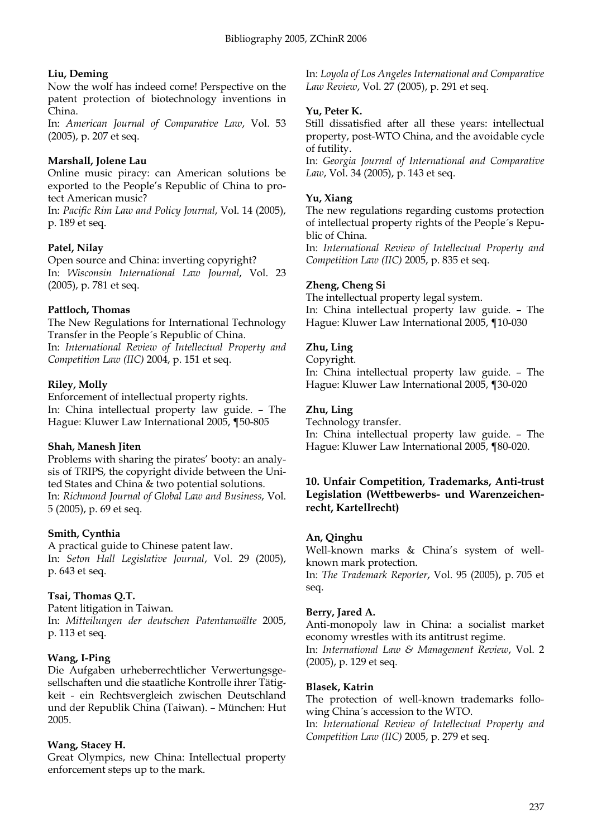# **Liu, Deming**

Now the wolf has indeed come! Perspective on the patent protection of biotechnology inventions in China.

In: *American Journal of Comparative Law*, Vol. 53 (2005), p. 207 et seq.

# **Marshall, Jolene Lau**

Online music piracy: can American solutions be exported to the People's Republic of China to protect American music?

In: *Pacific Rim Law and Policy Journal*, Vol. 14 (2005), p. 189 et seq.

# **Patel, Nilay**

Open source and China: inverting copyright? In: *Wisconsin International Law Journal*, Vol. 23 (2005), p. 781 et seq.

# **Pattloch, Thomas**

The New Regulations for International Technology Transfer in the People´s Republic of China. In: *International Review of Intellectual Property and Competition Law (IIC)* 2004, p. 151 et seq.

# **Riley, Molly**

Enforcement of intellectual property rights. In: China intellectual property law guide. – The Hague: Kluwer Law International 2005, ¶50-805

# **Shah, Manesh Jiten**

Problems with sharing the pirates' booty: an analysis of TRIPS, the copyright divide between the United States and China & two potential solutions. In: *Richmond Journal of Global Law and Business*, Vol. 5 (2005), p. 69 et seq.

# **Smith, Cynthia**

A practical guide to Chinese patent law. In: *Seton Hall Legislative Journal*, Vol. 29 (2005), p. 643 et seq.

# **Tsai, Thomas Q.T.**

Patent litigation in Taiwan. In: *Mitteilungen der deutschen Patentanwälte* 2005, p. 113 et seq.

# **Wang, I-Ping**

Die Aufgaben urheberrechtlicher Verwertungsgesellschaften und die staatliche Kontrolle ihrer Tätigkeit - ein Rechtsvergleich zwischen Deutschland und der Republik China (Taiwan). – München: Hut 2005.

# **Wang, Stacey H.**

Great Olympics, new China: Intellectual property enforcement steps up to the mark.

In: *Loyola of Los Angeles International and Comparative Law Review*, Vol. 27 (2005), p. 291 et seq.

# **Yu, Peter K.**

Still dissatisfied after all these years: intellectual property, post-WTO China, and the avoidable cycle of futility.

In: *Georgia Journal of International and Comparative Law*, Vol. 34 (2005), p. 143 et seq.

#### **Yu, Xiang**

The new regulations regarding customs protection of intellectual property rights of the People´s Republic of China.

In: *International Review of Intellectual Property and Competition Law (IIC)* 2005, p. 835 et seq.

# **Zheng, Cheng Si**

The intellectual property legal system. In: China intellectual property law guide. – The Hague: Kluwer Law International 2005, ¶10-030

# **Zhu, Ling**

#### Copyright.

In: China intellectual property law guide. – The Hague: Kluwer Law International 2005, ¶30-020

# **Zhu, Ling**

Technology transfer. In: China intellectual property law guide. – The Hague: Kluwer Law International 2005, ¶80-020.

# **10. Unfair Competition, Trademarks, Anti-trust Legislation (Wettbewerbs- und Warenzeichenrecht, Kartellrecht)**

#### **An, Qinghu**

Well-known marks & China's system of wellknown mark protection.

In: *The Trademark Reporter*, Vol. 95 (2005), p. 705 et seq.

# **Berry, Jared A.**

Anti-monopoly law in China: a socialist market economy wrestles with its antitrust regime.

In: *International Law & Management Review*, Vol. 2 (2005), p. 129 et seq.

#### **Blasek, Katrin**

The protection of well-known trademarks following China´s accession to the WTO.

In: *International Review of Intellectual Property and Competition Law (IIC)* 2005, p. 279 et seq.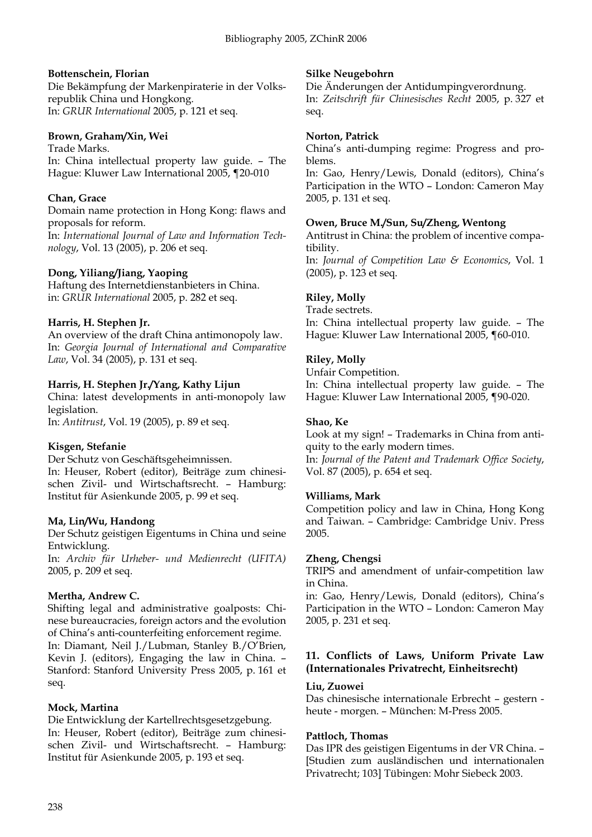#### **Bottenschein, Florian**

Die Bekämpfung der Markenpiraterie in der Volksrepublik China und Hongkong. In: *GRUR International* 2005, p. 121 et seq.

#### **Brown, Graham/Xin, Wei**

Trade Marks. In: China intellectual property law guide. – The Hague: Kluwer Law International 2005, ¶20-010

# **Chan, Grace**

Domain name protection in Hong Kong: flaws and proposals for reform.

In: *International Journal of Law and Information Technology*, Vol. 13 (2005), p. 206 et seq.

# **Dong, Yiliang/Jiang, Yaoping**

Haftung des Internetdienstanbieters in China. in: *GRUR International* 2005, p. 282 et seq.

# **Harris, H. Stephen Jr.**

An overview of the draft China antimonopoly law. In: *Georgia Journal of International and Comparative Law*, Vol. 34 (2005), p. 131 et seq.

# **Harris, H. Stephen Jr./Yang, Kathy Lijun**

China: latest developments in anti-monopoly law legislation.

In: *Antitrust*, Vol. 19 (2005), p. 89 et seq.

# **Kisgen, Stefanie**

Der Schutz von Geschäftsgeheimnissen. In: Heuser, Robert (editor), Beiträge zum chinesischen Zivil- und Wirtschaftsrecht. – Hamburg: Institut für Asienkunde 2005, p. 99 et seq.

#### **Ma, Lin/Wu, Handong**

Der Schutz geistigen Eigentums in China und seine Entwicklung.

In: *Archiv für Urheber- und Medienrecht (UFITA)* 2005, p. 209 et seq.

# **Mertha, Andrew C.**

Shifting legal and administrative goalposts: Chinese bureaucracies, foreign actors and the evolution of China's anti-counterfeiting enforcement regime. In: Diamant, Neil J./Lubman, Stanley B./O'Brien, Kevin J. (editors), Engaging the law in China. – Stanford: Stanford University Press 2005, p. 161 et seq.

# **Mock, Martina**

Die Entwicklung der Kartellrechtsgesetzgebung. In: Heuser, Robert (editor), Beiträge zum chinesischen Zivil- und Wirtschaftsrecht. – Hamburg: Institut für Asienkunde 2005, p. 193 et seq.

# **Silke Neugebohrn**

Die Änderungen der Antidumpingverordnung. In: *Zeitschrift für Chinesisches Recht* 2005, p. 327 et seq.

#### **Norton, Patrick**

China's anti-dumping regime: Progress and problems.

In: Gao, Henry/Lewis, Donald (editors), China's Participation in the WTO – London: Cameron May 2005, p. 131 et seq.

# **Owen, Bruce M./Sun, Su/Zheng, Wentong**

Antitrust in China: the problem of incentive compatibility.

In: *Journal of Competition Law & Economics*, Vol. 1 (2005), p. 123 et seq.

# **Riley, Molly**

Trade sectrets.

In: China intellectual property law guide. – The Hague: Kluwer Law International 2005, ¶60-010.

# **Riley, Molly**

Unfair Competition.

In: China intellectual property law guide. – The Hague: Kluwer Law International 2005, ¶90-020.

# **Shao, Ke**

Look at my sign! – Trademarks in China from antiquity to the early modern times.

In: *Journal of the Patent and Trademark Office Society*, Vol. 87 (2005), p. 654 et seq.

# **Williams, Mark**

Competition policy and law in China, Hong Kong and Taiwan. – Cambridge: Cambridge Univ. Press 2005.

# **Zheng, Chengsi**

TRIPS and amendment of unfair-competition law in China.

in: Gao, Henry/Lewis, Donald (editors), China's Participation in the WTO – London: Cameron May 2005, p. 231 et seq.

# **11. Conflicts of Laws, Uniform Private Law (Internationales Privatrecht, Einheitsrecht)**

#### **Liu, Zuowei**

Das chinesische internationale Erbrecht – gestern heute - morgen. – München: M-Press 2005.

# **Pattloch, Thomas**

Das IPR des geistigen Eigentums in der VR China. – [Studien zum ausländischen und internationalen Privatrecht; 103] Tübingen: Mohr Siebeck 2003.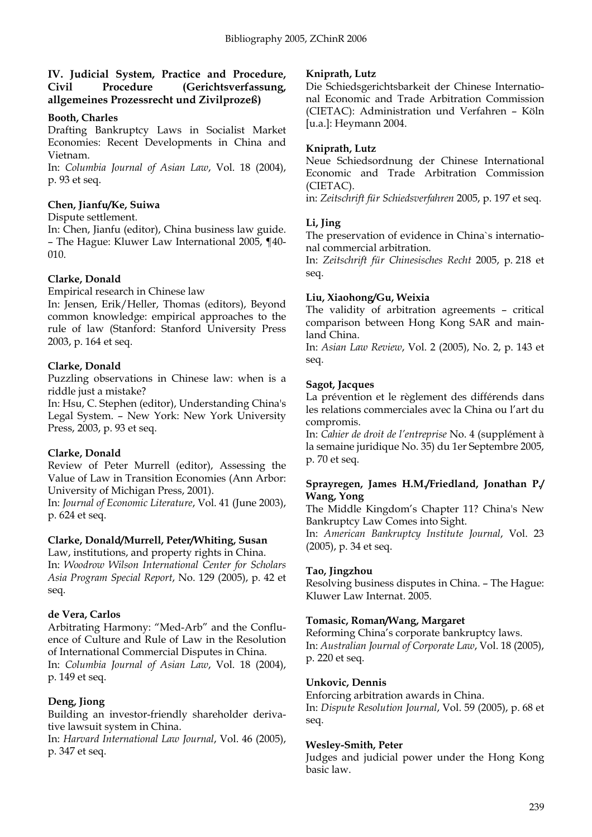# **IV. Judicial System, Practice and Procedure, Civil Procedure (Gerichtsverfassung, allgemeines Prozessrecht und Zivilprozeß)**

#### **Booth, Charles**

Drafting Bankruptcy Laws in Socialist Market Economies: Recent Developments in China and Vietnam.

In: *Columbia Journal of Asian Law*, Vol. 18 (2004), p. 93 et seq.

#### **Chen, Jianfu/Ke, Suiwa**

#### Dispute settlement.

In: Chen, Jianfu (editor), China business law guide. – The Hague: Kluwer Law International 2005, ¶40- 010.

#### **Clarke, Donald**

Empirical research in Chinese law

In: Jensen, Erik/Heller, Thomas (editors), Beyond common knowledge: empirical approaches to the rule of law (Stanford: Stanford University Press 2003, p. 164 et seq.

# **Clarke, Donald**

Puzzling observations in Chinese law: when is a riddle just a mistake?

In: Hsu, C. Stephen (editor), Understanding China's Legal System. – New York: New York University Press, 2003, p. 93 et seq.

# **Clarke, Donald**

Review of Peter Murrell (editor), Assessing the Value of Law in Transition Economies (Ann Arbor: University of Michigan Press, 2001).

In: *Journal of Economic Literature*, Vol. 41 (June 2003), p. 624 et seq.

# **Clarke, Donald/Murrell, Peter/Whiting, Susan**

Law, institutions, and property rights in China. In: *Woodrow Wilson International Center for Scholars Asia Program Special Report*, No. 129 (2005), p. 42 et seq.

#### **de Vera, Carlos**

Arbitrating Harmony: "Med-Arb" and the Confluence of Culture and Rule of Law in the Resolution of International Commercial Disputes in China. In: *Columbia Journal of Asian Law*, Vol. 18 (2004), p. 149 et seq.

# **Deng, Jiong**

Building an investor-friendly shareholder derivative lawsuit system in China.

In: *Harvard International Law Journal*, Vol. 46 (2005), p. 347 et seq.

#### **Kniprath, Lutz**

Die Schiedsgerichtsbarkeit der Chinese International Economic and Trade Arbitration Commission (CIETAC): Administration und Verfahren – Köln [u.a.]: Heymann 2004.

#### **Kniprath, Lutz**

Neue Schiedsordnung der Chinese International Economic and Trade Arbitration Commission (CIETAC).

in: *Zeitschrift für Schiedsverfahren* 2005, p. 197 et seq.

# **Li, Jing**

The preservation of evidence in China`s international commercial arbitration.

In: *Zeitschrift für Chinesisches Recht* 2005, p. 218 et seq.

# **Liu, Xiaohong/Gu, Weixia**

The validity of arbitration agreements – critical comparison between Hong Kong SAR and mainland China.

In: *Asian Law Review*, Vol. 2 (2005), No. 2, p. 143 et seq.

#### **Sagot, Jacques**

La prévention et le règlement des différends dans les relations commerciales avec la China ou l'art du compromis.

In: *Cahier de droit de l'entreprise* No. 4 (supplément à la semaine juridique No. 35) du 1er Septembre 2005, p. 70 et seq.

#### **Sprayregen, James H.M./Friedland, Jonathan P./ Wang, Yong**

The Middle Kingdom's Chapter 11? China's New Bankruptcy Law Comes into Sight.

In: *American Bankruptcy Institute Journal*, Vol. 23 (2005), p. 34 et seq.

# **Tao, Jingzhou**

Resolving business disputes in China. – The Hague: Kluwer Law Internat. 2005.

#### **Tomasic, Roman/Wang, Margaret**

Reforming China's corporate bankruptcy laws. In: *Australian Journal of Corporate Law*, Vol. 18 (2005), p. 220 et seq.

#### **Unkovic, Dennis**

Enforcing arbitration awards in China.

In: *Dispute Resolution Journal*, Vol. 59 (2005), p. 68 et seq.

#### **Wesley-Smith, Peter**

Judges and judicial power under the Hong Kong basic law.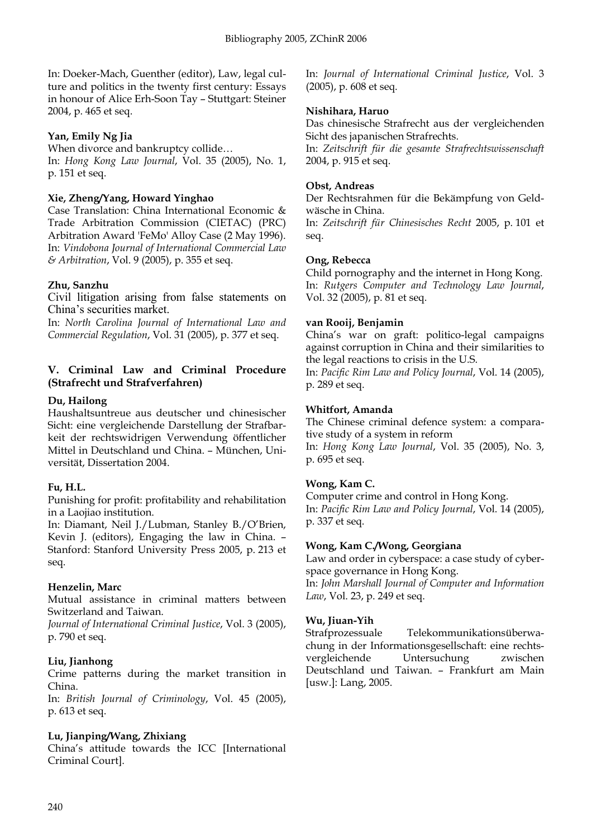In: Doeker-Mach, Guenther (editor), Law, legal culture and politics in the twenty first century: Essays in honour of Alice Erh-Soon Tay – Stuttgart: Steiner 2004, p. 465 et seq.

# **Yan, Emily Ng Jia**

When divorce and bankruptcy collide… In: *Hong Kong Law Journal*, Vol. 35 (2005), No. 1, p. 151 et seq.

# **Xie, Zheng/Yang, Howard Yinghao**

Case Translation: China International Economic & Trade Arbitration Commission (CIETAC) (PRC) Arbitration Award 'FeMo' Alloy Case (2 May 1996). In: *Vindobona Journal of International Commercial Law & Arbitration*, Vol. 9 (2005), p. 355 et seq.

# **Zhu, Sanzhu**

Civil litigation arising from false statements on China's securities market.

In: *North Carolina Journal of International Law and Commercial Regulation*, Vol. 31 (2005), p. 377 et seq.

# **V. Criminal Law and Criminal Procedure (Strafrecht und Strafverfahren)**

# **Du, Hailong**

Haushaltsuntreue aus deutscher und chinesischer Sicht: eine vergleichende Darstellung der Strafbarkeit der rechtswidrigen Verwendung öffentlicher Mittel in Deutschland und China. – München, Universität, Dissertation 2004.

# **Fu, H.L.**

Punishing for profit: profitability and rehabilitation in a Laojiao institution.

In: Diamant, Neil J./Lubman, Stanley B./O'Brien, Kevin J. (editors), Engaging the law in China. – Stanford: Stanford University Press 2005, p. 213 et seq.

# **Henzelin, Marc**

Mutual assistance in criminal matters between Switzerland and Taiwan.

*Journal of International Criminal Justice*, Vol. 3 (2005), p. 790 et seq.

# **Liu, Jianhong**

Crime patterns during the market transition in China.

In: *British Journal of Criminology*, Vol. 45 (2005), p. 613 et seq.

# **Lu, Jianping/Wang, Zhixiang**

China's attitude towards the ICC [International Criminal Court].

In: *Journal of International Criminal Justice*, Vol. 3 (2005), p. 608 et seq.

# **Nishihara, Haruo**

Das chinesische Strafrecht aus der vergleichenden Sicht des japanischen Strafrechts.

In: *Zeitschrift für die gesamte Strafrechtswissenschaft* 2004, p. 915 et seq.

# **Obst, Andreas**

Der Rechtsrahmen für die Bekämpfung von Geldwäsche in China.

In: *Zeitschrift für Chinesisches Recht* 2005, p. 101 et seq.

# **Ong, Rebecca**

Child pornography and the internet in Hong Kong. In: *Rutgers Computer and Technology Law Journal*, Vol. 32 (2005), p. 81 et seq.

# **van Rooij, Benjamin**

China's war on graft: politico-legal campaigns against corruption in China and their similarities to the legal reactions to crisis in the U.S.

In: *Pacific Rim Law and Policy Journal*, Vol. 14 (2005), p. 289 et seq.

# **Whitfort, Amanda**

The Chinese criminal defence system: a comparative study of a system in reform In: *Hong Kong Law Journal*, Vol. 35 (2005), No. 3, p. 695 et seq.

# **Wong, Kam C.**

Computer crime and control in Hong Kong. In: *Pacific Rim Law and Policy Journal*, Vol. 14 (2005), p. 337 et seq.

# **Wong, Kam C./Wong, Georgiana**

Law and order in cyberspace: a case study of cyberspace governance in Hong Kong. In: *John Marshall Journal of Computer and Information Law*, Vol. 23, p. 249 et seq.

# **Wu, Jiuan-Yih**

Strafprozessuale Telekommunikationsüberwachung in der Informationsgesellschaft: eine rechtsvergleichende Untersuchung zwischen Deutschland und Taiwan. – Frankfurt am Main [usw.]: Lang, 2005.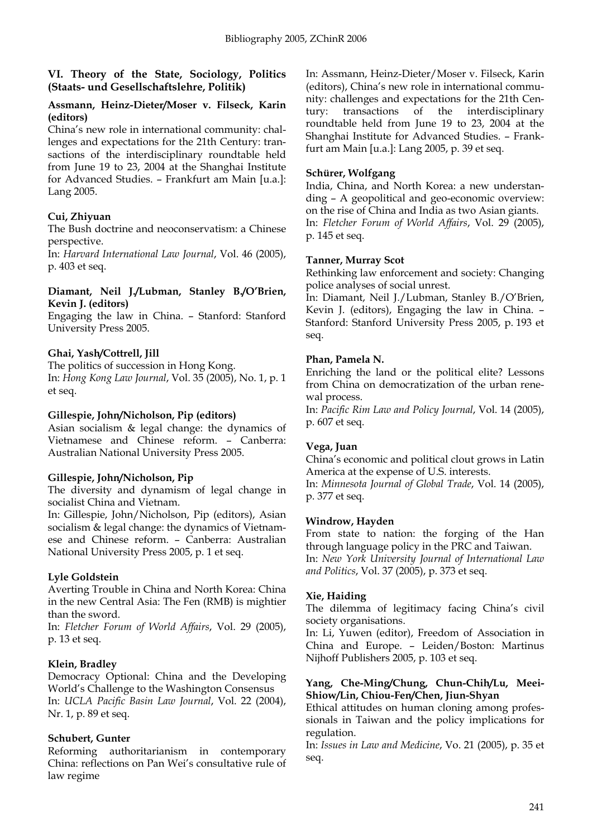# **VI. Theory of the State, Sociology, Politics (Staats- und Gesellschaftslehre, Politik)**

#### **Assmann, Heinz-Dieter/Moser v. Filseck, Karin (editors)**

China's new role in international community: challenges and expectations for the 21th Century: transactions of the interdisciplinary roundtable held from June 19 to 23, 2004 at the Shanghai Institute for Advanced Studies. – Frankfurt am Main [u.a.]: Lang 2005.

# **Cui, Zhiyuan**

The Bush doctrine and neoconservatism: a Chinese perspective.

In: *Harvard International Law Journal*, Vol. 46 (2005), p. 403 et seq.

#### **Diamant, Neil J./Lubman, Stanley B./O'Brien, Kevin J. (editors)**

Engaging the law in China. – Stanford: Stanford University Press 2005.

# **Ghai, Yash/Cottrell, Jill**

The politics of succession in Hong Kong. In: *Hong Kong Law Journal*, Vol. 35 (2005), No. 1, p. 1 et seq.

# **Gillespie, John/Nicholson, Pip (editors)**

Asian socialism & legal change: the dynamics of Vietnamese and Chinese reform. – Canberra: Australian National University Press 2005.

# **Gillespie, John/Nicholson, Pip**

The diversity and dynamism of legal change in socialist China and Vietnam.

In: Gillespie, John/Nicholson, Pip (editors), Asian socialism & legal change: the dynamics of Vietnamese and Chinese reform. – Canberra: Australian National University Press 2005, p. 1 et seq.

# **Lyle Goldstein**

Averting Trouble in China and North Korea: China in the new Central Asia: The Fen (RMB) is mightier than the sword.

In: *Fletcher Forum of World Affairs*, Vol. 29 (2005), p. 13 et seq.

# **Klein, Bradley**

Democracy Optional: China and the Developing World's Challenge to the Washington Consensus In: *UCLA Pacific Basin Law Journal*, Vol. 22 (2004), Nr. 1, p. 89 et seq.

# **Schubert, Gunter**

Reforming authoritarianism in contemporary China: reflections on Pan Wei's consultative rule of law regime

In: Assmann, Heinz-Dieter/Moser v. Filseck, Karin (editors), China's new role in international community: challenges and expectations for the 21th Century: transactions of the interdisciplinary roundtable held from June 19 to 23, 2004 at the Shanghai Institute for Advanced Studies. – Frankfurt am Main [u.a.]: Lang 2005, p. 39 et seq.

# **Schürer, Wolfgang**

India, China, and North Korea: a new understanding – A geopolitical and geo-economic overview: on the rise of China and India as two Asian giants. In: *Fletcher Forum of World Affairs*, Vol. 29 (2005), p. 145 et seq.

# **Tanner, Murray Scot**

Rethinking law enforcement and society: Changing police analyses of social unrest.

In: Diamant, Neil J./Lubman, Stanley B./O'Brien, Kevin J. (editors), Engaging the law in China. – Stanford: Stanford University Press 2005, p. 193 et seq.

# **Phan, Pamela N.**

Enriching the land or the political elite? Lessons from China on democratization of the urban renewal process.

In: *Pacific Rim Law and Policy Journal*, Vol. 14 (2005), p. 607 et seq.

# **Vega, Juan**

China's economic and political clout grows in Latin America at the expense of U.S. interests.

In: *Minnesota Journal of Global Trade*, Vol. 14 (2005), p. 377 et seq.

# **Windrow, Hayden**

From state to nation: the forging of the Han through language policy in the PRC and Taiwan. In: *New York University Journal of International Law and Politics*, Vol. 37 (2005), p. 373 et seq.

# **Xie, Haiding**

The dilemma of legitimacy facing China's civil society organisations.

In: Li, Yuwen (editor), Freedom of Association in China and Europe. – Leiden/Boston: Martinus Nijhoff Publishers 2005, p. 103 et seq.

#### **Yang, Che-Ming/Chung, Chun-Chih/Lu, Meei-Shiow/Lin, Chiou-Fen/Chen, Jiun-Shyan**

Ethical attitudes on human cloning among professionals in Taiwan and the policy implications for regulation.

In: *Issues in Law and Medicine*, Vo. 21 (2005), p. 35 et seq.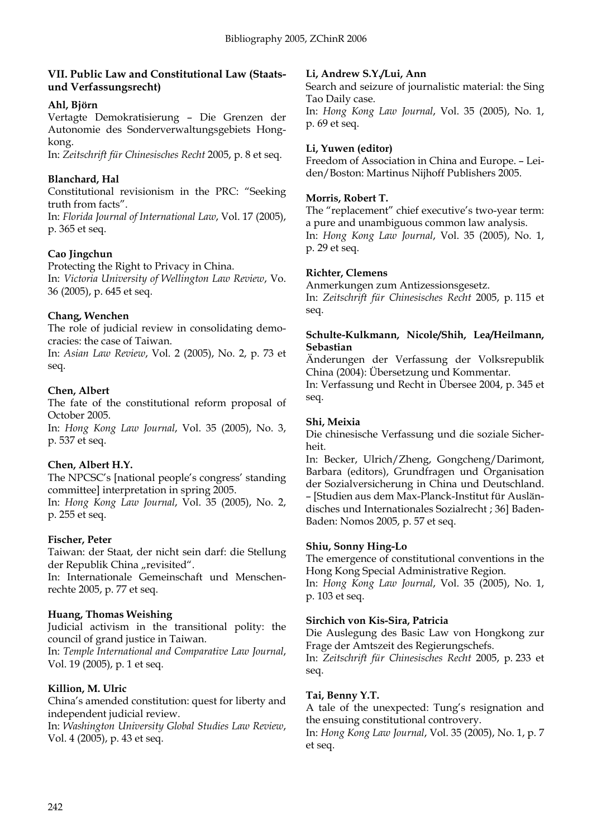# **VII. Public Law and Constitutional Law (Staatsund Verfassungsrecht)**

# **Ahl, Björn**

Vertagte Demokratisierung – Die Grenzen der Autonomie des Sonderverwaltungsgebiets Hongkong.

In: *Zeitschrift für Chinesisches Recht* 2005, p. 8 et seq.

# **Blanchard, Hal**

Constitutional revisionism in the PRC: "Seeking truth from facts".

In: *Florida Journal of International Law*, Vol. 17 (2005), p. 365 et seq.

# **Cao Jingchun**

Protecting the Right to Privacy in China. In: *Victoria University of Wellington Law Review*, Vo. 36 (2005), p. 645 et seq.

# **Chang, Wenchen**

The role of judicial review in consolidating democracies: the case of Taiwan.

In: *Asian Law Review*, Vol. 2 (2005), No. 2, p. 73 et seq.

# **Chen, Albert**

The fate of the constitutional reform proposal of October 2005.

In: *Hong Kong Law Journal*, Vol. 35 (2005), No. 3, p. 537 et seq.

# **Chen, Albert H.Y.**

The NPCSC's [national people's congress' standing committee] interpretation in spring 2005.

In: *Hong Kong Law Journal*, Vol. 35 (2005), No. 2, p. 255 et seq.

# **Fischer, Peter**

Taiwan: der Staat, der nicht sein darf: die Stellung der Republik China "revisited".

In: Internationale Gemeinschaft und Menschenrechte 2005, p. 77 et seq.

# **Huang, Thomas Weishing**

Judicial activism in the transitional polity: the council of grand justice in Taiwan.

In: *Temple International and Comparative Law Journal*, Vol. 19 (2005), p. 1 et seq.

# **Killion, M. Ulric**

China's amended constitution: quest for liberty and independent judicial review.

In: *Washington University Global Studies Law Review*, Vol. 4 (2005), p. 43 et seq.

# **Li, Andrew S.Y./Lui, Ann**

Search and seizure of journalistic material: the Sing Tao Daily case. In: *Hong Kong Law Journal*, Vol. 35 (2005), No. 1, p. 69 et seq.

# **Li, Yuwen (editor)**

Freedom of Association in China and Europe. – Leiden/Boston: Martinus Nijhoff Publishers 2005.

# **Morris, Robert T.**

The "replacement" chief executive's two-year term: a pure and unambiguous common law analysis. In: *Hong Kong Law Journal*, Vol. 35 (2005), No. 1, p. 29 et seq.

# **Richter, Clemens**

Anmerkungen zum Antizessionsgesetz. In: *Zeitschrift für Chinesisches Recht* 2005, p. 115 et seq.

#### **Schulte-Kulkmann, Nicole/Shih, Lea/Heilmann, Sebastian**

Änderungen der Verfassung der Volksrepublik China (2004): Übersetzung und Kommentar.

In: Verfassung und Recht in Übersee 2004, p. 345 et seq.

# **Shi, Meixia**

Die chinesische Verfassung und die soziale Sicherheit.

In: Becker, Ulrich/Zheng, Gongcheng/Darimont, Barbara (editors), Grundfragen und Organisation der Sozialversicherung in China und Deutschland. – [Studien aus dem Max-Planck-Institut für Ausländisches und Internationales Sozialrecht ; 36] Baden-Baden: Nomos 2005, p. 57 et seq.

# **Shiu, Sonny Hing-Lo**

The emergence of constitutional conventions in the Hong Kong Special Administrative Region.

In: *Hong Kong Law Journal*, Vol. 35 (2005), No. 1, p. 103 et seq.

# **Sirchich von Kis-Sira, Patricia**

Die Auslegung des Basic Law von Hongkong zur Frage der Amtszeit des Regierungschefs.

In: *Zeitschrift für Chinesisches Recht* 2005, p. 233 et seq.

# **Tai, Benny Y.T.**

A tale of the unexpected: Tung's resignation and the ensuing constitutional controvery.

In: *Hong Kong Law Journal*, Vol. 35 (2005), No. 1, p. 7 et seq.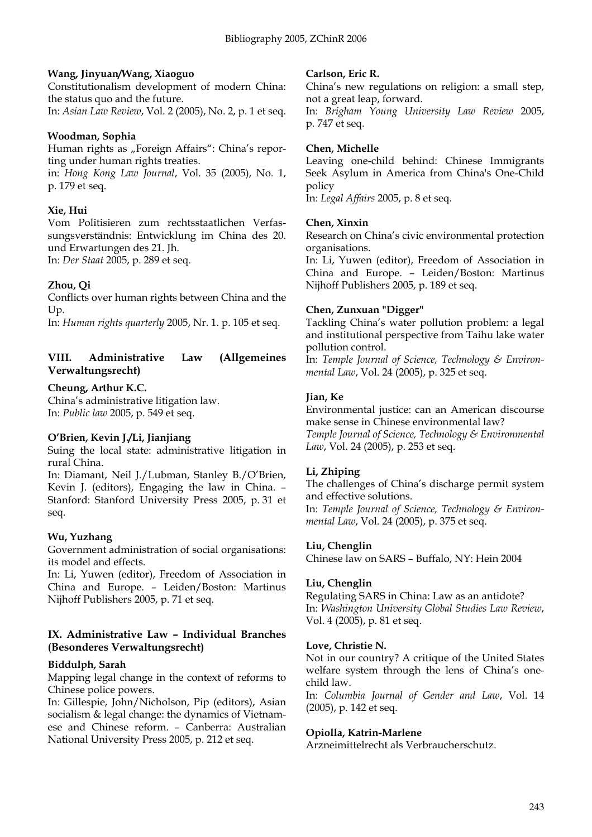# **Wang, Jinyuan/Wang, Xiaoguo**

Constitutionalism development of modern China: the status quo and the future.

# In: *Asian Law Review*, Vol. 2 (2005), No. 2, p. 1 et seq.

#### **Woodman, Sophia**

Human rights as "Foreign Affairs": China's reporting under human rights treaties. in: *Hong Kong Law Journal*, Vol. 35 (2005), No. 1, p. 179 et seq.

# **Xie, Hui**

Vom Politisieren zum rechtsstaatlichen Verfassungsverständnis: Entwicklung im China des 20. und Erwartungen des 21. Jh.

In: *Der Staat* 2005, p. 289 et seq.

# **Zhou, Qi**

Conflicts over human rights between China and the Up.

In: *Human rights quarterly* 2005, Nr. 1. p. 105 et seq.

# **VIII. Administrative Law (Allgemeines Verwaltungsrecht)**

# **Cheung, Arthur K.C.**

China's administrative litigation law. In: *Public law* 2005, p. 549 et seq.

# **O'Brien, Kevin J./Li, Jianjiang**

Suing the local state: administrative litigation in rural China.

In: Diamant, Neil J./Lubman, Stanley B./O'Brien, Kevin J. (editors), Engaging the law in China. – Stanford: Stanford University Press 2005, p. 31 et seq.

# **Wu, Yuzhang**

Government administration of social organisations: its model and effects.

In: Li, Yuwen (editor), Freedom of Association in China and Europe. – Leiden/Boston: Martinus Nijhoff Publishers 2005, p. 71 et seq.

# **IX. Administrative Law – Individual Branches (Besonderes Verwaltungsrecht)**

# **Biddulph, Sarah**

Mapping legal change in the context of reforms to Chinese police powers.

In: Gillespie, John/Nicholson, Pip (editors), Asian socialism & legal change: the dynamics of Vietnamese and Chinese reform. – Canberra: Australian National University Press 2005, p. 212 et seq.

#### **Carlson, Eric R.**

China's new regulations on religion: a small step, not a great leap, forward.

In: *Brigham Young University Law Review* 2005, p. 747 et seq.

#### **Chen, Michelle**

Leaving one-child behind: Chinese Immigrants Seek Asylum in America from China's One-Child policy

In: *Legal Affairs* 2005, p. 8 et seq.

# **Chen, Xinxin**

Research on China's civic environmental protection organisations.

In: Li, Yuwen (editor), Freedom of Association in China and Europe. – Leiden/Boston: Martinus Nijhoff Publishers 2005, p. 189 et seq.

# **Chen, Zunxuan "Digger"**

Tackling China's water pollution problem: a legal and institutional perspective from Taihu lake water pollution control.

In: *Temple Journal of Science, Technology & Environmental Law*, Vol. 24 (2005), p. 325 et seq.

# **Jian, Ke**

Environmental justice: can an American discourse make sense in Chinese environmental law? *Temple Journal of Science, Technology & Environmental Law*, Vol. 24 (2005), p. 253 et seq.

# **Li, Zhiping**

The challenges of China's discharge permit system and effective solutions.

In: *Temple Journal of Science, Technology & Environmental Law*, Vol. 24 (2005), p. 375 et seq.

# **Liu, Chenglin**

Chinese law on SARS – Buffalo, NY: Hein 2004

# **Liu, Chenglin**

Regulating SARS in China: Law as an antidote? In: *Washington University Global Studies Law Review*, Vol. 4 (2005), p. 81 et seq.

#### **Love, Christie N.**

Not in our country? A critique of the United States welfare system through the lens of China's onechild law.

In: *Columbia Journal of Gender and Law*, Vol. 14 (2005), p. 142 et seq.

# **Opiolla, Katrin-Marlene**

Arzneimittelrecht als Verbraucherschutz.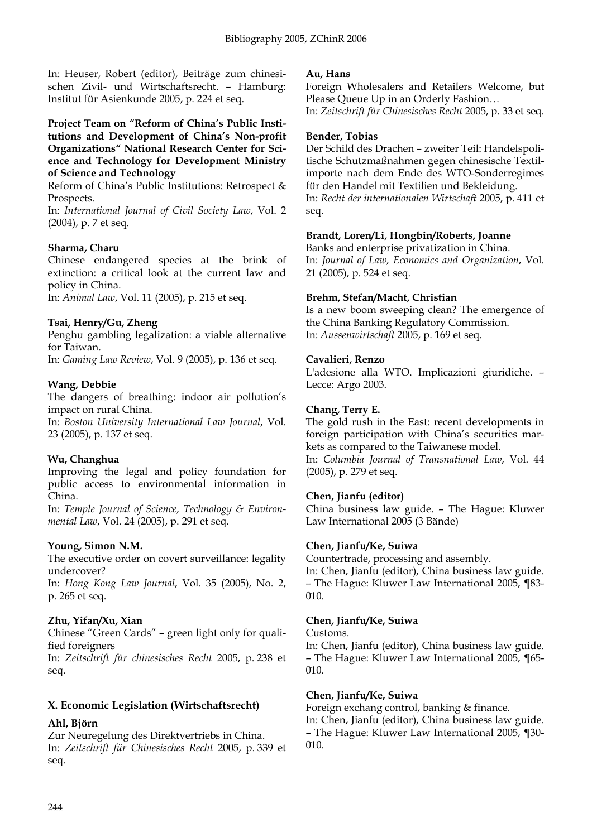In: Heuser, Robert (editor), Beiträge zum chinesischen Zivil- und Wirtschaftsrecht. – Hamburg: Institut für Asienkunde 2005, p. 224 et seq.

#### **Project Team on "Reform of China's Public Institutions and Development of China's Non-profit Organizations" National Research Center for Science and Technology for Development Ministry of Science and Technology**

Reform of China's Public Institutions: Retrospect & Prospects.

In: *International Journal of Civil Society Law*, Vol. 2 (2004), p. 7 et seq.

# **Sharma, Charu**

Chinese endangered species at the brink of extinction: a critical look at the current law and policy in China.

In: *Animal Law*, Vol. 11 (2005), p. 215 et seq.

# **Tsai, Henry/Gu, Zheng**

Penghu gambling legalization: a viable alternative for Taiwan.

In: *Gaming Law Review*, Vol. 9 (2005), p. 136 et seq.

# **Wang, Debbie**

The dangers of breathing: indoor air pollution's impact on rural China.

In: *Boston University International Law Journal*, Vol. 23 (2005), p. 137 et seq.

# **Wu, Changhua**

Improving the legal and policy foundation for public access to environmental information in China.

In: *Temple Journal of Science, Technology & Environmental Law*, Vol. 24 (2005), p. 291 et seq.

# **Young, Simon N.M.**

The executive order on covert surveillance: legality undercover?

In: *Hong Kong Law Journal*, Vol. 35 (2005), No. 2, p. 265 et seq.

# **Zhu, Yifan/Xu, Xian**

Chinese "Green Cards" – green light only for qualified foreigners

In: *Zeitschrift für chinesisches Recht* 2005, p. 238 et seq.

# **X. Economic Legislation (Wirtschaftsrecht)**

# **Ahl, Björn**

Zur Neuregelung des Direktvertriebs in China. In: *Zeitschrift für Chinesisches Recht* 2005, p. 339 et seq.

#### **Au, Hans**

Foreign Wholesalers and Retailers Welcome, but Please Queue Up in an Orderly Fashion… In: *Zeitschrift für Chinesisches Recht* 2005, p. 33 et seq.

#### **Bender, Tobias**

Der Schild des Drachen – zweiter Teil: Handelspolitische Schutzmaßnahmen gegen chinesische Textilimporte nach dem Ende des WTO-Sonderregimes für den Handel mit Textilien und Bekleidung. In: *Recht der internationalen Wirtschaft* 2005, p. 411 et seq.

# **Brandt, Loren/Li, Hongbin/Roberts, Joanne**

Banks and enterprise privatization in China. In: *Journal of Law, Economics and Organization*, Vol. 21 (2005), p. 524 et seq.

# **Brehm, Stefan/Macht, Christian**

Is a new boom sweeping clean? The emergence of the China Banking Regulatory Commission. In: *Aussenwirtschaft* 2005, p. 169 et seq.

# **Cavalieri, Renzo**

L'adesione alla WTO. Implicazioni giuridiche. – Lecce: Argo 2003.

# **Chang, Terry E.**

The gold rush in the East: recent developments in foreign participation with China's securities markets as compared to the Taiwanese model.

In: *Columbia Journal of Transnational Law*, Vol. 44 (2005), p. 279 et seq.

# **Chen, Jianfu (editor)**

China business law guide. – The Hague: Kluwer Law International 2005 (3 Bände)

# **Chen, Jianfu/Ke, Suiwa**

Countertrade, processing and assembly.

In: Chen, Jianfu (editor), China business law guide. – The Hague: Kluwer Law International 2005, ¶83- 010.

# **Chen, Jianfu/Ke, Suiwa**

Customs.

In: Chen, Jianfu (editor), China business law guide. – The Hague: Kluwer Law International 2005, ¶65- 010.

# **Chen, Jianfu/Ke, Suiwa**

Foreign exchang control, banking & finance. In: Chen, Jianfu (editor), China business law guide. – The Hague: Kluwer Law International 2005, ¶30- 010.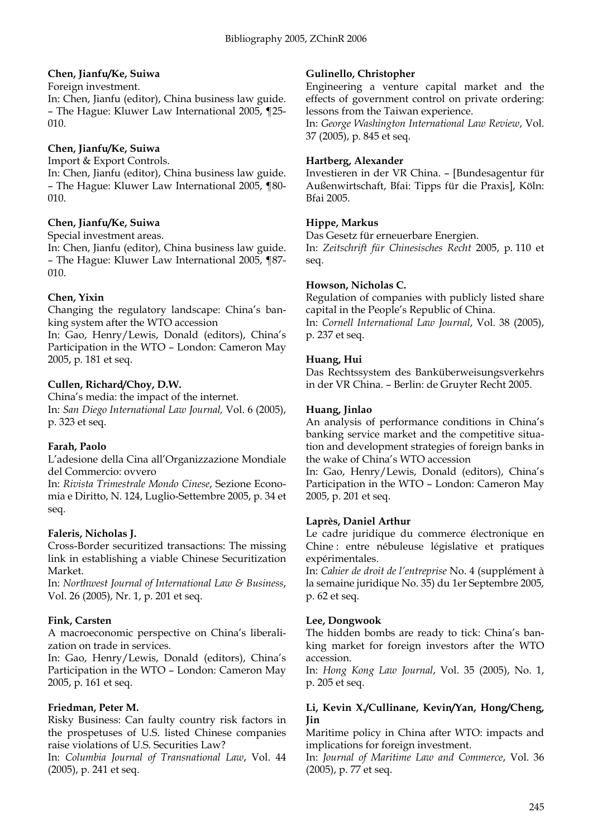# **Chen, Jianfu/Ke, Suiwa**

Foreign investment.

In: Chen, Jianfu (editor), China business law guide. – The Hague: Kluwer Law International 2005, ¶25- 010.

# **Chen, Jianfu/Ke, Suiwa**

Import & Export Controls.

In: Chen, Jianfu (editor), China business law guide. – The Hague: Kluwer Law International 2005, ¶80- 010.

# **Chen, Jianfu/Ke, Suiwa**

Special investment areas.

In: Chen, Jianfu (editor), China business law guide. – The Hague: Kluwer Law International 2005, ¶87- 010.

# **Chen, Yixin**

Changing the regulatory landscape: China's banking system after the WTO accession

In: Gao, Henry/Lewis, Donald (editors), China's Participation in the WTO – London: Cameron May 2005, p. 181 et seq.

# **Cullen, Richard/Choy, D.W.**

China's media: the impact of the internet. In: *San Diego International Law Journal,* Vol. 6 (2005), p. 323 et seq.

# **Farah, Paolo**

L'adesione della Cina all'Organizzazione Mondiale del Commercio: ovvero

In: *Rivista Trimestrale Mondo Cinese*, Sezione Economia e Diritto, N. 124, Luglio-Settembre 2005, p. 34 et seq.

# **Faleris, Nicholas J.**

Cross-Border securitized transactions: The missing link in establishing a viable Chinese Securitization Market.

In: *Northwest Journal of International Law & Business*, Vol. 26 (2005), Nr. 1, p. 201 et seq.

# **Fink, Carsten**

A macroeconomic perspective on China's liberalization on trade in services.

In: Gao, Henry/Lewis, Donald (editors), China's Participation in the WTO – London: Cameron May 2005, p. 161 et seq.

# **Friedman, Peter M.**

Risky Business: Can faulty country risk factors in the prospetuses of U.S. listed Chinese companies raise violations of U.S. Securities Law?

In: *Columbia Journal of Transnational Law*, Vol. 44 (2005), p. 241 et seq.

# **Gulinello, Christopher**

Engineering a venture capital market and the effects of government control on private ordering: lessons from the Taiwan experience.

In: *George Washington International Law Review*, Vol. 37 (2005), p. 845 et seq.

# **Hartberg, Alexander**

Investieren in der VR China. – [Bundesagentur für Außenwirtschaft, Bfai: Tipps für die Praxis], Köln: Bfai 2005.

# **Hippe, Markus**

Das Gesetz für erneuerbare Energien. In: *Zeitschrift für Chinesisches Recht* 2005, p. 110 et seq.

# **Howson, Nicholas C.**

Regulation of companies with publicly listed share capital in the People's Republic of China. In: *Cornell International Law Journal*, Vol. 38 (2005), p. 237 et seq.

# **Huang, Hui**

Das Rechtssystem des Banküberweisungsverkehrs in der VR China. – Berlin: de Gruyter Recht 2005.

# **Huang, Jinlao**

An analysis of performance conditions in China's banking service market and the competitive situation and development strategies of foreign banks in the wake of China's WTO accession

In: Gao, Henry/Lewis, Donald (editors), China's Participation in the WTO – London: Cameron May 2005, p. 201 et seq.

# **Laprès, Daniel Arthur**

Le cadre juridique du commerce électronique en Chine : entre nébuleuse législative et pratiques expérimentales.

In: *Cahier de droit de l'entreprise* No. 4 (supplément à la semaine juridique No. 35) du 1er Septembre 2005, p. 62 et seq.

# **Lee, Dongwook**

The hidden bombs are ready to tick: China's banking market for foreign investors after the WTO accession.

In: *Hong Kong Law Journal*, Vol. 35 (2005), No. 1, p. 205 et seq.

# **Li, Kevin X./Cullinane, Kevin/Yan, Hong/Cheng, Jin**

Maritime policy in China after WTO: impacts and implications for foreign investment.

In: *Journal of Maritime Law and Commerce*, Vol. 36 (2005), p. 77 et seq.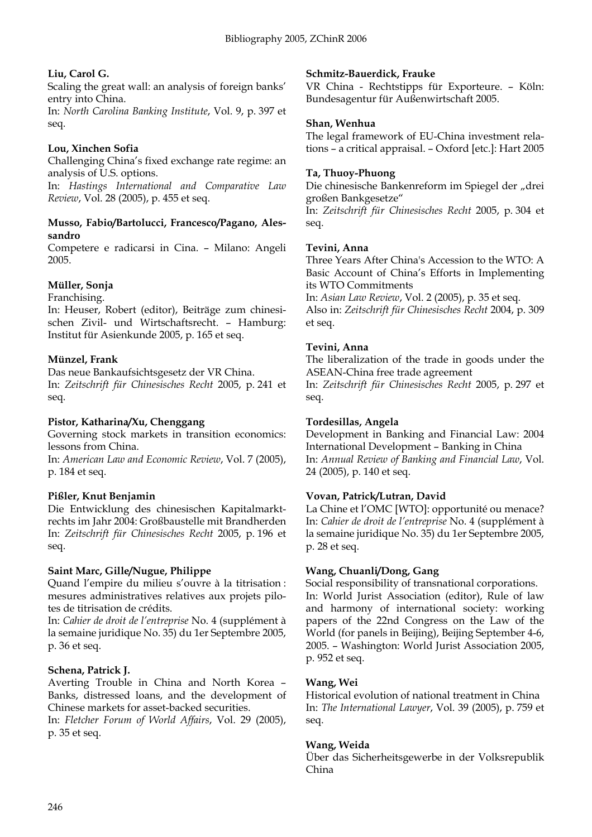# **Liu, Carol G.**

Scaling the great wall: an analysis of foreign banks' entry into China.

In: *North Carolina Banking Institute*, Vol. 9, p. 397 et seq.

# **Lou, Xinchen Sofia**

Challenging China's fixed exchange rate regime: an analysis of U.S. options.

In: *Hastings International and Comparative Law Review*, Vol. 28 (2005), p. 455 et seq.

#### **Musso, Fabio/Bartolucci, Francesco/Pagano, Alessandro**

Competere e radicarsi in Cina. – Milano: Angeli 2005.

# **Müller, Sonja**

Franchising.

In: Heuser, Robert (editor), Beiträge zum chinesischen Zivil- und Wirtschaftsrecht. – Hamburg: Institut für Asienkunde 2005, p. 165 et seq.

# **Münzel, Frank**

Das neue Bankaufsichtsgesetz der VR China. In: *Zeitschrift für Chinesisches Recht* 2005, p. 241 et seq.

# **Pistor, Katharina/Xu, Chenggang**

Governing stock markets in transition economics: lessons from China.

In: *American Law and Economic Review*, Vol. 7 (2005), p. 184 et seq.

# **Pißler, Knut Benjamin**

Die Entwicklung des chinesischen Kapitalmarktrechts im Jahr 2004: Großbaustelle mit Brandherden In: *Zeitschrift für Chinesisches Recht* 2005, p. 196 et seq.

# **Saint Marc, Gille/Nugue, Philippe**

Quand l'empire du milieu s'ouvre à la titrisation : mesures administratives relatives aux projets pilotes de titrisation de crédits.

In: *Cahier de droit de l'entreprise* No. 4 (supplément à la semaine juridique No. 35) du 1er Septembre 2005, p. 36 et seq.

# **Schena, Patrick J.**

Averting Trouble in China and North Korea – Banks, distressed loans, and the development of Chinese markets for asset-backed securities.

In: *Fletcher Forum of World Affairs*, Vol. 29 (2005), p. 35 et seq.

# **Schmitz-Bauerdick, Frauke**

VR China - Rechtstipps für Exporteure. – Köln: Bundesagentur für Außenwirtschaft 2005.

# **Shan, Wenhua**

The legal framework of EU-China investment relations – a critical appraisal. – Oxford [etc.]: Hart 2005

# **Ta, Thuoy-Phuong**

Die chinesische Bankenreform im Spiegel der "drei großen Bankgesetze"

In: *Zeitschrift für Chinesisches Recht* 2005, p. 304 et seq.

# **Tevini, Anna**

Three Years After China's Accession to the WTO: A Basic Account of China's Efforts in Implementing its WTO Commitments

In: *Asian Law Review*, Vol. 2 (2005), p. 35 et seq. Also in: *Zeitschrift für Chinesisches Recht* 2004, p. 309 et seq.

# **Tevini, Anna**

The liberalization of the trade in goods under the ASEAN-China free trade agreement In: *Zeitschrift für Chinesisches Recht* 2005, p. 297 et seq.

#### **Tordesillas, Angela**

Development in Banking and Financial Law: 2004 International Development – Banking in China In: *Annual Review of Banking and Financial Law*, Vol. 24 (2005), p. 140 et seq.

# **Vovan, Patrick/Lutran, David**

La Chine et l'OMC [WTO]: opportunité ou menace? In: *Cahier de droit de l'entreprise* No. 4 (supplément à la semaine juridique No. 35) du 1er Septembre 2005, p. 28 et seq.

# **Wang, Chuanli/Dong, Gang**

Social responsibility of transnational corporations. In: World Jurist Association (editor), Rule of law and harmony of international society: working papers of the 22nd Congress on the Law of the World (for panels in Beijing), Beijing September 4-6, 2005. – Washington: World Jurist Association 2005, p. 952 et seq.

# **Wang, Wei**

Historical evolution of national treatment in China In: *The International Lawyer*, Vol. 39 (2005), p. 759 et seq.

# **Wang, Weida**

Über das Sicherheitsgewerbe in der Volksrepublik China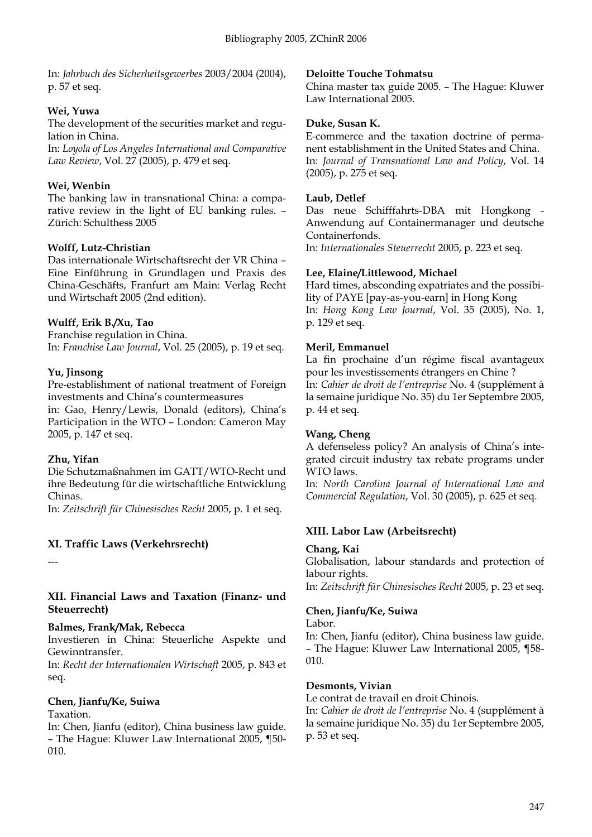In: *Jahrbuch des Sicherheitsgewerbes* 2003/2004 (2004), p. 57 et seq.

# **Wei, Yuwa**

The development of the securities market and regulation in China.

In: *Loyola of Los Angeles International and Comparative Law Review*, Vol. 27 (2005), p. 479 et seq.

# **Wei, Wenbin**

The banking law in transnational China: a comparative review in the light of EU banking rules. – Zürich: Schulthess 2005

# **Wolff, Lutz-Christian**

Das internationale Wirtschaftsrecht der VR China – Eine Einführung in Grundlagen und Praxis des China-Geschäfts, Franfurt am Main: Verlag Recht und Wirtschaft 2005 (2nd edition).

# **Wulff, Erik B./Xu, Tao**

Franchise regulation in China. In: *Franchise Law Journal*, Vol. 25 (2005), p. 19 et seq.

# **Yu, Jinsong**

Pre-establishment of national treatment of Foreign investments and China's countermeasures

in: Gao, Henry/Lewis, Donald (editors), China's Participation in the WTO – London: Cameron May 2005, p. 147 et seq.

# **Zhu, Yifan**

Die Schutzmaßnahmen im GATT/WTO-Recht und ihre Bedeutung für die wirtschaftliche Entwicklung Chinas.

In: *Zeitschrift für Chinesisches Recht* 2005, p. 1 et seq.

# **XI. Traffic Laws (Verkehrsrecht)**

---

# **XII. Financial Laws and Taxation (Finanz- und Steuerrecht)**

# **Balmes, Frank/Mak, Rebecca**

Investieren in China: Steuerliche Aspekte und Gewinntransfer.

In: *Recht der Internationalen Wirtschaft* 2005, p. 843 et seq.

# **Chen, Jianfu/Ke, Suiwa**

Taxation.

In: Chen, Jianfu (editor), China business law guide. – The Hague: Kluwer Law International 2005, ¶50- 010.

# **Deloitte Touche Tohmatsu**

China master tax guide 2005. – The Hague: Kluwer Law International 2005.

# **Duke, Susan K.**

E-commerce and the taxation doctrine of permanent establishment in the United States and China. In: *Journal of Transnational Law and Policy*, Vol. 14 (2005), p. 275 et seq.

# **Laub, Detlef**

Das neue Schifffahrts-DBA mit Hongkong - Anwendung auf Containermanager und deutsche Containerfonds.

In: *Internationales Steuerrecht* 2005, p. 223 et seq.

# **Lee, Elaine/Littlewood, Michael**

Hard times, absconding expatriates and the possibility of PAYE [pay-as-you-earn] in Hong Kong In: *Hong Kong Law Journal*, Vol. 35 (2005), No. 1, p. 129 et seq.

# **Meril, Emmanuel**

La fin prochaine d'un régime fiscal avantageux pour les investissements étrangers en Chine ? In: *Cahier de droit de l'entreprise* No. 4 (supplément à la semaine juridique No. 35) du 1er Septembre 2005, p. 44 et seq.

# **Wang, Cheng**

A defenseless policy? An analysis of China's integrated circuit industry tax rebate programs under WTO laws.

In: *North Carolina Journal of International Law and Commercial Regulation*, Vol. 30 (2005), p. 625 et seq.

# **XIII. Labor Law (Arbeitsrecht)**

# **Chang, Kai**

Globalisation, labour standards and protection of labour rights. In: *Zeitschrift für Chinesisches Recht* 2005, p. 23 et seq.

# **Chen, Jianfu/Ke, Suiwa**

Labor.

In: Chen, Jianfu (editor), China business law guide. – The Hague: Kluwer Law International 2005, ¶58- 010.

# **Desmonts, Vivian**

Le contrat de travail en droit Chinois.

In: *Cahier de droit de l'entreprise* No. 4 (supplément à la semaine juridique No. 35) du 1er Septembre 2005, p. 53 et seq.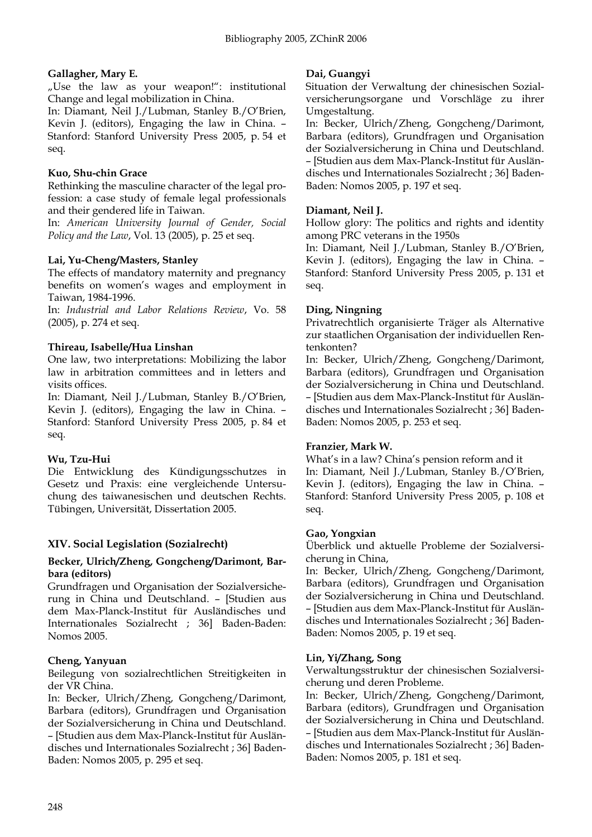# **Gallagher, Mary E.**

"Use the law as your weapon!": institutional Change and legal mobilization in China.

In: Diamant, Neil J./Lubman, Stanley B./O'Brien, Kevin J. (editors), Engaging the law in China. – Stanford: Stanford University Press 2005, p. 54 et seq.

# **Kuo, Shu-chin Grace**

Rethinking the masculine character of the legal profession: a case study of female legal professionals and their gendered life in Taiwan.

In: *American University Journal of Gender, Social Policy and the Law*, Vol. 13 (2005), p. 25 et seq.

# **Lai, Yu-Cheng/Masters, Stanley**

The effects of mandatory maternity and pregnancy benefits on women's wages and employment in Taiwan, 1984-1996.

In: *Industrial and Labor Relations Review*, Vo. 58 (2005), p. 274 et seq.

# **Thireau, Isabelle/Hua Linshan**

One law, two interpretations: Mobilizing the labor law in arbitration committees and in letters and visits offices.

In: Diamant, Neil J./Lubman, Stanley B./O'Brien, Kevin J. (editors), Engaging the law in China. – Stanford: Stanford University Press 2005, p. 84 et seq.

# **Wu, Tzu-Hui**

Die Entwicklung des Kündigungsschutzes in Gesetz und Praxis: eine vergleichende Untersuchung des taiwanesischen und deutschen Rechts. Tübingen, Universität, Dissertation 2005.

# **XIV. Social Legislation (Sozialrecht)**

#### **Becker, Ulrich/Zheng, Gongcheng/Darimont, Barbara (editors)**

Grundfragen und Organisation der Sozialversicherung in China und Deutschland. – [Studien aus dem Max-Planck-Institut für Ausländisches und Internationales Sozialrecht ; 36] Baden-Baden: Nomos 2005.

# **Cheng, Yanyuan**

Beilegung von sozialrechtlichen Streitigkeiten in der VR China.

In: Becker, Ulrich/Zheng, Gongcheng/Darimont, Barbara (editors), Grundfragen und Organisation der Sozialversicherung in China und Deutschland. – [Studien aus dem Max-Planck-Institut für Ausländisches und Internationales Sozialrecht ; 36] Baden-Baden: Nomos 2005, p. 295 et seq.

#### **Dai, Guangyi**

Situation der Verwaltung der chinesischen Sozialversicherungsorgane und Vorschläge zu ihrer Umgestaltung.

In: Becker, Ulrich/Zheng, Gongcheng/Darimont, Barbara (editors), Grundfragen und Organisation der Sozialversicherung in China und Deutschland. – [Studien aus dem Max-Planck-Institut für Ausländisches und Internationales Sozialrecht ; 36] Baden-Baden: Nomos 2005, p. 197 et seq.

# **Diamant, Neil J.**

Hollow glory: The politics and rights and identity among PRC veterans in the 1950s

In: Diamant, Neil J./Lubman, Stanley B./O'Brien, Kevin J. (editors), Engaging the law in China. – Stanford: Stanford University Press 2005, p. 131 et seq.

# **Ding, Ningning**

Privatrechtlich organisierte Träger als Alternative zur staatlichen Organisation der individuellen Rentenkonten?

In: Becker, Ulrich/Zheng, Gongcheng/Darimont, Barbara (editors), Grundfragen und Organisation der Sozialversicherung in China und Deutschland. – [Studien aus dem Max-Planck-Institut für Ausländisches und Internationales Sozialrecht ; 36] Baden-Baden: Nomos 2005, p. 253 et seq.

# **Franzier, Mark W.**

What's in a law? China's pension reform and it In: Diamant, Neil J./Lubman, Stanley B./O'Brien, Kevin J. (editors), Engaging the law in China. – Stanford: Stanford University Press 2005, p. 108 et seq.

#### **Gao, Yongxian**

Überblick und aktuelle Probleme der Sozialversicherung in China,

In: Becker, Ulrich/Zheng, Gongcheng/Darimont, Barbara (editors), Grundfragen und Organisation der Sozialversicherung in China und Deutschland. – [Studien aus dem Max-Planck-Institut für Ausländisches und Internationales Sozialrecht ; 36] Baden-Baden: Nomos 2005, p. 19 et seq.

#### **Lin, Yi/Zhang, Song**

Verwaltungsstruktur der chinesischen Sozialversicherung und deren Probleme.

In: Becker, Ulrich/Zheng, Gongcheng/Darimont, Barbara (editors), Grundfragen und Organisation der Sozialversicherung in China und Deutschland. – [Studien aus dem Max-Planck-Institut für Ausländisches und Internationales Sozialrecht ; 36] Baden-Baden: Nomos 2005, p. 181 et seq.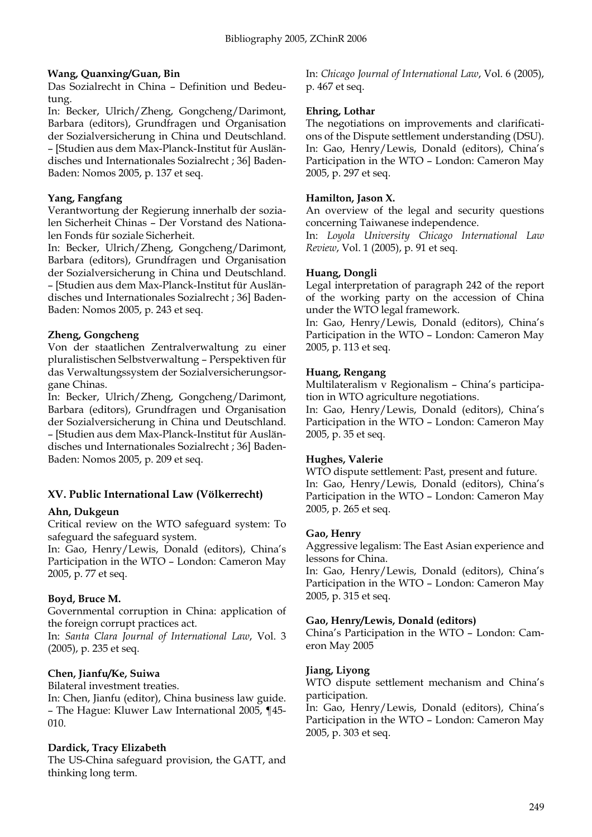# **Wang, Quanxing/Guan, Bin**

Das Sozialrecht in China – Definition und Bedeutung.

In: Becker, Ulrich/Zheng, Gongcheng/Darimont, Barbara (editors), Grundfragen und Organisation der Sozialversicherung in China und Deutschland. – [Studien aus dem Max-Planck-Institut für Ausländisches und Internationales Sozialrecht ; 36] Baden-Baden: Nomos 2005, p. 137 et seq.

# **Yang, Fangfang**

Verantwortung der Regierung innerhalb der sozialen Sicherheit Chinas – Der Vorstand des Nationalen Fonds für soziale Sicherheit.

In: Becker, Ulrich/Zheng, Gongcheng/Darimont, Barbara (editors), Grundfragen und Organisation der Sozialversicherung in China und Deutschland. – [Studien aus dem Max-Planck-Institut für Ausländisches und Internationales Sozialrecht ; 36] Baden-Baden: Nomos 2005, p. 243 et seq.

# **Zheng, Gongcheng**

Von der staatlichen Zentralverwaltung zu einer pluralistischen Selbstverwaltung – Perspektiven für das Verwaltungssystem der Sozialversicherungsorgane Chinas.

In: Becker, Ulrich/Zheng, Gongcheng/Darimont, Barbara (editors), Grundfragen und Organisation der Sozialversicherung in China und Deutschland. – [Studien aus dem Max-Planck-Institut für Ausländisches und Internationales Sozialrecht ; 36] Baden-Baden: Nomos 2005, p. 209 et seq.

# **XV. Public International Law (Völkerrecht)**

# **Ahn, Dukgeun**

Critical review on the WTO safeguard system: To safeguard the safeguard system.

In: Gao, Henry/Lewis, Donald (editors), China's Participation in the WTO – London: Cameron May 2005, p. 77 et seq.

# **Boyd, Bruce M.**

Governmental corruption in China: application of the foreign corrupt practices act.

In: *Santa Clara Journal of International Law*, Vol. 3 (2005), p. 235 et seq.

# **Chen, Jianfu/Ke, Suiwa**

Bilateral investment treaties.

In: Chen, Jianfu (editor), China business law guide. – The Hague: Kluwer Law International 2005, ¶45- 010.

# **Dardick, Tracy Elizabeth**

The US-China safeguard provision, the GATT, and thinking long term.

In: *Chicago Journal of International Law*, Vol. 6 (2005), p. 467 et seq.

# **Ehring, Lothar**

The negotiations on improvements and clarifications of the Dispute settlement understanding (DSU). In: Gao, Henry/Lewis, Donald (editors), China's Participation in the WTO – London: Cameron May 2005, p. 297 et seq.

#### **Hamilton, Jason X.**

An overview of the legal and security questions concerning Taiwanese independence.

In: *Loyola University Chicago International Law Review*, Vol. 1 (2005), p. 91 et seq.

# **Huang, Dongli**

Legal interpretation of paragraph 242 of the report of the working party on the accession of China under the WTO legal framework.

In: Gao, Henry/Lewis, Donald (editors), China's Participation in the WTO – London: Cameron May 2005, p. 113 et seq.

# **Huang, Rengang**

Multilateralism v Regionalism – China's participation in WTO agriculture negotiations.

In: Gao, Henry/Lewis, Donald (editors), China's Participation in the WTO – London: Cameron May 2005, p. 35 et seq.

# **Hughes, Valerie**

WTO dispute settlement: Past, present and future. In: Gao, Henry/Lewis, Donald (editors), China's Participation in the WTO – London: Cameron May 2005, p. 265 et seq.

# **Gao, Henry**

Aggressive legalism: The East Asian experience and lessons for China.

In: Gao, Henry/Lewis, Donald (editors), China's Participation in the WTO – London: Cameron May 2005, p. 315 et seq.

# **Gao, Henry/Lewis, Donald (editors)**

China's Participation in the WTO – London: Cameron May 2005

# **Jiang, Liyong**

WTO dispute settlement mechanism and China's participation.

In: Gao, Henry/Lewis, Donald (editors), China's Participation in the WTO – London: Cameron May 2005, p. 303 et seq.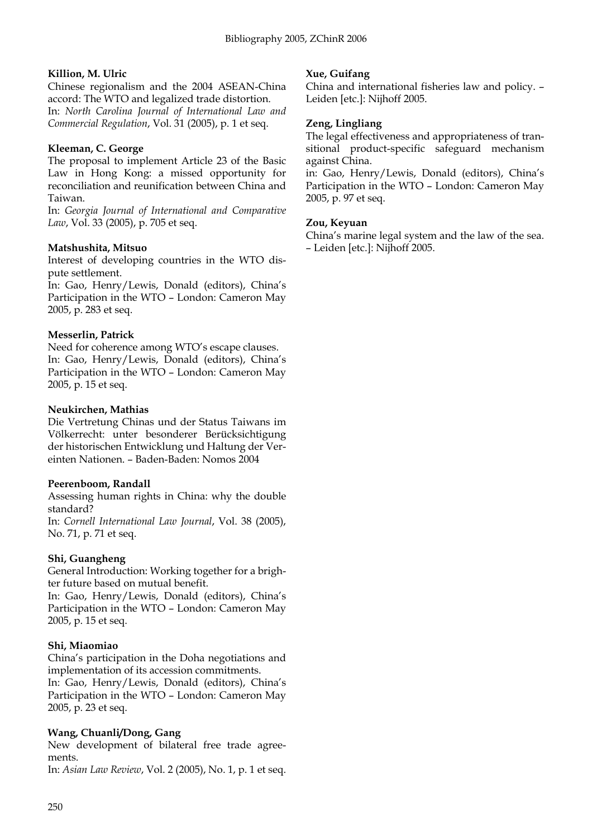# **Killion, M. Ulric**

Chinese regionalism and the 2004 ASEAN-China accord: The WTO and legalized trade distortion. In: *North Carolina Journal of International Law and Commercial Regulation*, Vol. 31 (2005), p. 1 et seq.

# **Kleeman, C. George**

The proposal to implement Article 23 of the Basic Law in Hong Kong: a missed opportunity for reconciliation and reunification between China and Taiwan.

In: *Georgia Journal of International and Comparative Law*, Vol. 33 (2005), p. 705 et seq.

# **Matshushita, Mitsuo**

Interest of developing countries in the WTO dispute settlement.

In: Gao, Henry/Lewis, Donald (editors), China's Participation in the WTO – London: Cameron May 2005, p. 283 et seq.

# **Messerlin, Patrick**

Need for coherence among WTO's escape clauses. In: Gao, Henry/Lewis, Donald (editors), China's Participation in the WTO – London: Cameron May 2005, p. 15 et seq.

# **Neukirchen, Mathias**

Die Vertretung Chinas und der Status Taiwans im Völkerrecht: unter besonderer Berücksichtigung der historischen Entwicklung und Haltung der Vereinten Nationen. – Baden-Baden: Nomos 2004

# **Peerenboom, Randall**

Assessing human rights in China: why the double standard?

In: *Cornell International Law Journal*, Vol. 38 (2005), No. 71, p. 71 et seq.

# **Shi, Guangheng**

General Introduction: Working together for a brighter future based on mutual benefit.

In: Gao, Henry/Lewis, Donald (editors), China's Participation in the WTO – London: Cameron May 2005, p. 15 et seq.

# **Shi, Miaomiao**

China's participation in the Doha negotiations and implementation of its accession commitments.

In: Gao, Henry/Lewis, Donald (editors), China's Participation in the WTO – London: Cameron May 2005, p. 23 et seq.

# **Wang, Chuanli/Dong, Gang**

New development of bilateral free trade agreements.

In: *Asian Law Review*, Vol. 2 (2005), No. 1, p. 1 et seq.

# **Xue, Guifang**

China and international fisheries law and policy. – Leiden [etc.]: Nijhoff 2005.

# **Zeng, Lingliang**

The legal effectiveness and appropriateness of transitional product-specific safeguard mechanism against China.

in: Gao, Henry/Lewis, Donald (editors), China's Participation in the WTO – London: Cameron May 2005, p. 97 et seq.

# **Zou, Keyuan**

China's marine legal system and the law of the sea. – Leiden [etc.]: Nijhoff 2005.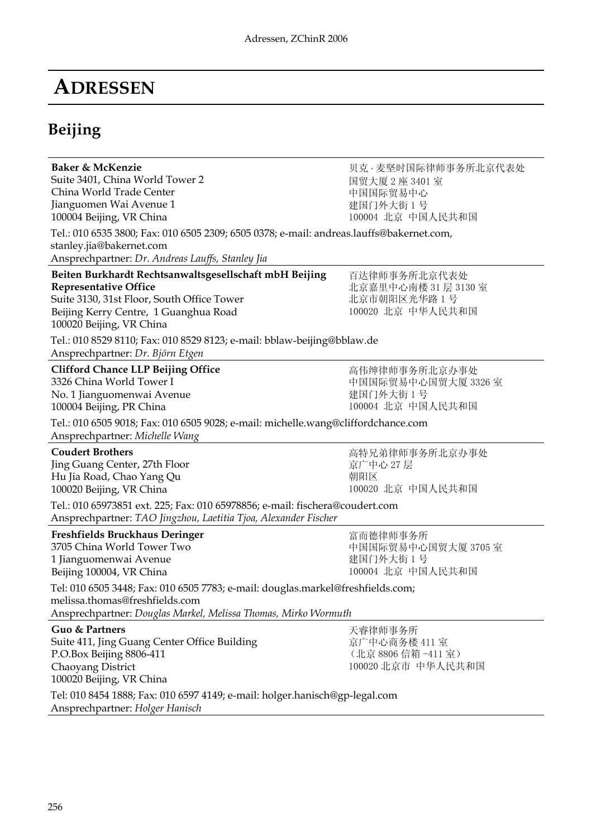# **ADRESSEN**

# **Beijing**

| Baker & McKenzie<br>Suite 3401, China World Tower 2<br>China World Trade Center<br>Jianguomen Wai Avenue 1<br>100004 Beijing, VR China<br>Tel.: 010 6535 3800; Fax: 010 6505 2309; 6505 0378; e-mail: andreas.lauffs@bakernet.com,<br>stanley.jia@bakernet.com<br>Ansprechpartner: Dr. Andreas Lauffs, Stanley Jia       | 贝克·麦坚时国际律师事务所北京代表处<br>国贸大厦 2 座 3401 室<br>中国国际贸易中心<br>建国门外大街 1号<br>100004 北京 中国人民共和国 |
|--------------------------------------------------------------------------------------------------------------------------------------------------------------------------------------------------------------------------------------------------------------------------------------------------------------------------|-------------------------------------------------------------------------------------|
| Beiten Burkhardt Rechtsanwaltsgesellschaft mbH Beijing<br><b>Representative Office</b><br>Suite 3130, 31st Floor, South Office Tower<br>Beijing Kerry Centre, 1 Guanghua Road<br>100020 Beijing, VR China<br>Tel.: 010 8529 8110; Fax: 010 8529 8123; e-mail: bblaw-beijing@bblaw.de<br>Ansprechpartner: Dr. Björn Etgen | 百达律师事务所北京代表处<br>北京嘉里中心南楼 31 层 3130 室<br>北京市朝阳区光华路 1 号<br>100020 北京 中华人民共和国          |
| <b>Clifford Chance LLP Beijing Office</b><br>3326 China World Tower I<br>No. 1 Jianguomenwai Avenue<br>100004 Beijing, PR China<br>Tel.: 010 6505 9018; Fax: 010 6505 9028; e-mail: michelle.wang@cliffordchance.com<br>Ansprechpartner: Michelle Wang                                                                   | 高伟绅律师事务所北京办事处<br>中国国际贸易中心国贸大厦 3326 室<br>建国门外大街1号<br>100004 北京 中国人民共和国               |
| <b>Coudert Brothers</b><br>Jing Guang Center, 27th Floor<br>Hu Jia Road, Chao Yang Qu<br>100020 Beijing, VR China<br>Tel.: 010 65973851 ext. 225; Fax: 010 65978856; e-mail: fischera@coudert.com<br>Ansprechpartner: TAO Jingzhou, Laetitia Tjoa, Alexander Fischer                                                     | 高特兄弟律师事务所北京办事处<br>京广中心 27 层<br>朝阳区<br>100020 北京 中国人民共和国                             |
| Freshfields Bruckhaus Deringer<br>3705 China World Tower Two<br>1 Jianguomenwai Avenue<br>Beijing 100004, VR China<br>Tel: 010 6505 3448; Fax: 010 6505 7783; e-mail: douglas.markel@freshfields.com;<br>melissa.thomas@freshfields.com<br>Ansprechpartner: Douglas Markel, Melissa Thomas, Mirko Wormuth                | 富而德律师事务所<br>中国国际贸易中心国贸大厦 3705 室<br>建国门外大街1号<br>100004 北京 中国人民共和国                    |
| Guo & Partners<br>Suite 411, Jing Guang Center Office Building<br>P.O.Box Beijing 8806-411<br>Chaoyang District<br>100020 Beijing, VR China<br>Tel: 010 8454 1888; Fax: 010 6597 4149; e-mail: holger.hanisch@gp-legal.com                                                                                               | 天睿律师事务所<br>京广中心商务楼 411室<br>(北京 8806 信箱 -411 室)<br>100020 北京市 中华人民共和国                |

Ansprechpartner: *Holger Hanisch*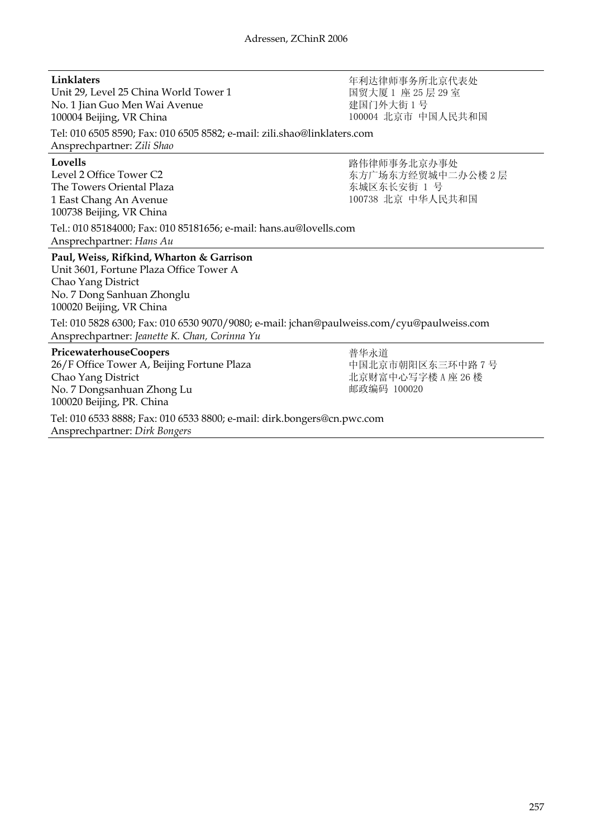#### **Linklaters**

Unit 29, Level 25 China World Tower 1 No. 1 Jian Guo Men Wai Avenue 100004 Beijing, VR China

年利达律师事务所北京代表处 国贸大厦 1 座 25 层 29 室 建国门外大街 1 号 100004 北京市 中国人民共和国

东方广场东方经贸城中二办公楼 2 层

路伟律师事务北京办事处

100738 北京 中华人民共和国

东城区东长安街 1 号

Tel: 010 6505 8590; Fax: 010 6505 8582; e-mail: zili.shao@linklaters.com Ansprechpartner: *Zili Shao*

**Lovells**

Level 2 Office Tower C2 The Towers Oriental Plaza 1 East Chang An Avenue 100738 Beijing, VR China

Tel.: 010 85184000; Fax: 010 85181656; e-mail: hans.au@lovells.com Ansprechpartner: *Hans Au*

**Paul, Weiss, Rifkind, Wharton & Garrison** Unit 3601, Fortune Plaza Office Tower A

Chao Yang District No. 7 Dong Sanhuan Zhonglu 100020 Beijing, VR China

Tel: 010 5828 6300; Fax: 010 6530 9070/9080; e-mail: jchan@paulweiss.com/cyu@paulweiss.com Ansprechpartner: *Jeanette K. Chan, Corinna Yu*

#### **PricewaterhouseCoopers**

26/F Office Tower A, Beijing Fortune Plaza Chao Yang District No. 7 Dongsanhuan Zhong Lu 100020 Beijing, PR. China

普华永道 中国北京市朝阳区东三环中路 7 号 北京财富中心写字楼 A 座 26 楼 邮政编码 100020

Tel: 010 6533 8888; Fax: 010 6533 8800; e-mail: dirk.bongers@cn.pwc.com Ansprechpartner: *Dirk Bongers*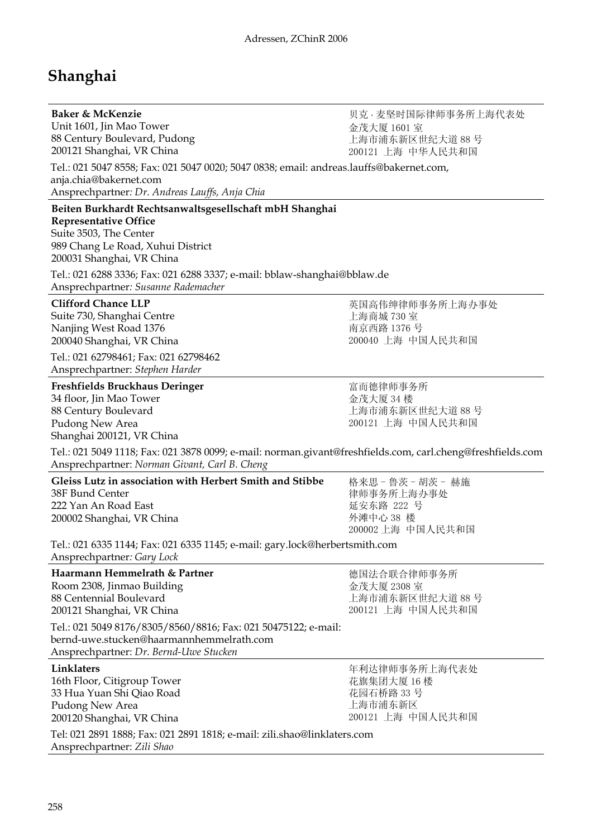# **Shanghai**

| Baker & McKenzie<br>Unit 1601, Jin Mao Tower                                                                                                                                                       | 贝克 · 麦坚时国际律师事务所上海代表处<br>金茂大厦 1601室                                         |  |  |  |  |  |
|----------------------------------------------------------------------------------------------------------------------------------------------------------------------------------------------------|----------------------------------------------------------------------------|--|--|--|--|--|
| 88 Century Boulevard, Pudong<br>200121 Shanghai, VR China                                                                                                                                          | 上海市浦东新区世纪大道 88 号<br>200121 上海 中华人民共和国                                      |  |  |  |  |  |
| Tel.: 021 5047 8558; Fax: 021 5047 0020; 5047 0838; email: andreas.lauffs@bakernet.com,<br>anja.chia@bakernet.com<br>Ansprechpartner: Dr. Andreas Lauffs, Anja Chia                                |                                                                            |  |  |  |  |  |
| Beiten Burkhardt Rechtsanwaltsgesellschaft mbH Shanghai<br><b>Representative Office</b><br>Suite 3503, The Center<br>989 Chang Le Road, Xuhui District<br>200031 Shanghai, VR China                |                                                                            |  |  |  |  |  |
| Tel.: 021 6288 3336; Fax: 021 6288 3337; e-mail: bblaw-shanghai@bblaw.de<br>Ansprechpartner: Susanne Rademacher                                                                                    |                                                                            |  |  |  |  |  |
| <b>Clifford Chance LLP</b><br>Suite 730, Shanghai Centre<br>Nanjing West Road 1376<br>200040 Shanghai, VR China                                                                                    | 英国高伟绅律师事务所上海办事处<br>上海商城 730室<br>南京西路 1376号<br>200040 上海 中国人民共和国            |  |  |  |  |  |
| Tel.: 021 62798461; Fax: 021 62798462<br>Ansprechpartner: Stephen Harder                                                                                                                           |                                                                            |  |  |  |  |  |
| Freshfields Bruckhaus Deringer<br>34 floor, Jin Mao Tower<br>88 Century Boulevard<br>Pudong New Area<br>Shanghai 200121, VR China                                                                  | 富而德律师事务所<br>金茂大厦 34 楼<br>上海市浦东新区世纪大道88号<br>200121 上海 中国人民共和国               |  |  |  |  |  |
| Tel.: 021 5049 1118; Fax: 021 3878 0099; e-mail: norman.givant@freshfields.com, carl.cheng@freshfields.com<br>Ansprechpartner: Norman Givant, Carl B. Cheng                                        |                                                                            |  |  |  |  |  |
| Gleiss Lutz in association with Herbert Smith and Stibbe<br>38F Bund Center<br>222 Yan An Road East<br>200002 Shanghai, VR China                                                                   | 格来思-鲁茨-胡茨-赫施<br>律师事务所上海办事处<br>延安东路 222 号<br>外滩中心 38 楼<br>200002 上海 中国人民共和国 |  |  |  |  |  |
| Tel.: 021 6335 1144; Fax: 021 6335 1145; e-mail: gary.lock@herbertsmith.com<br>Ansprechpartner: Gary Lock                                                                                          |                                                                            |  |  |  |  |  |
| Haarmann Hemmelrath & Partner<br>Room 2308, Jinmao Building<br>88 Centennial Boulevard<br>200121 Shanghai, VR China                                                                                | 德国法合联合律师事务所<br>金茂大厦 2308 室<br>上海市浦东新区世纪大道 88 号<br>200121 上海 中国人民共和国        |  |  |  |  |  |
| Tel.: 021 5049 8176/8305/8560/8816; Fax: 021 50475122; e-mail:<br>bernd-uwe.stucken@haarmannhemmelrath.com<br>Ansprechpartner: Dr. Bernd-Uwe Stucken                                               |                                                                            |  |  |  |  |  |
| Linklaters<br>16th Floor, Citigroup Tower<br>33 Hua Yuan Shi Qiao Road<br>Pudong New Area<br>200120 Shanghai, VR China<br>Tel: 021 2891 1888; Fax: 021 2891 1818; e-mail: zili.shao@linklaters.com | 年利达律师事务所上海代表处<br>花旗集团大厦 16楼<br>花园石桥路 33号<br>上海市浦东新区<br>200121 上海 中国人民共和国   |  |  |  |  |  |
| Ansprechpartner: Zili Shao                                                                                                                                                                         |                                                                            |  |  |  |  |  |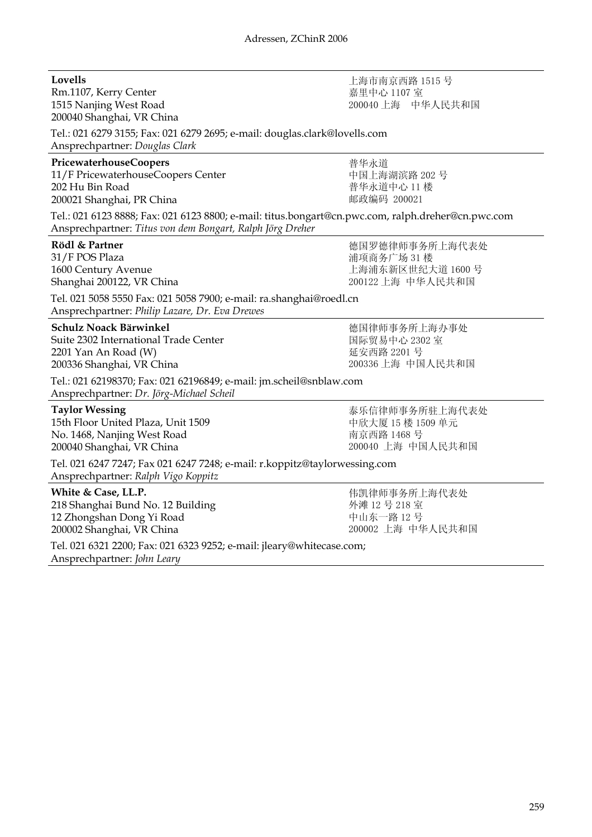**Lovells**

Rm.1107, Kerry Center 1515 Nanjing West Road 200040 Shanghai, VR China

| Tel.: 021 6279 3155; Fax: 021 6279 2695; e-mail: douglas.clark@lovells.com<br>Ansprechpartner: Douglas Clark                                                                                                                                      |                                                                        |  |  |  |  |
|---------------------------------------------------------------------------------------------------------------------------------------------------------------------------------------------------------------------------------------------------|------------------------------------------------------------------------|--|--|--|--|
| PricewaterhouseCoopers<br>11/F PricewaterhouseCoopers Center<br>202 Hu Bin Road<br>200021 Shanghai, PR China                                                                                                                                      | 普华永道<br>中国上海湖滨路 202号<br>普华永道中心 11 楼<br>邮政编码 200021                     |  |  |  |  |
| Tel.: 021 6123 8888; Fax: 021 6123 8800; e-mail: titus.bongart@cn.pwc.com, ralph.dreher@cn.pwc.com<br>Ansprechpartner: Titus von dem Bongart, Ralph Jörg Dreher                                                                                   |                                                                        |  |  |  |  |
| Rödl & Partner<br>31/F POS Plaza<br>1600 Century Avenue<br>Shanghai 200122, VR China<br>Tel. 021 5058 5550 Fax: 021 5058 7900; e-mail: ra.shanghai@roedl.cn<br>Ansprechpartner: Philip Lazare, Dr. Eva Drewes                                     | 德国罗德律师事务所上海代表处<br>浦项商务广场 31 楼<br>上海浦东新区世纪大道 1600号<br>200122 上海 中华人民共和国 |  |  |  |  |
| Schulz Noack Bärwinkel<br>Suite 2302 International Trade Center<br>2201 Yan An Road (W)<br>200336 Shanghai, VR China<br>Tel.: 021 62198370; Fax: 021 62196849; e-mail: jm.scheil@snblaw.com                                                       | 德国律师事务所上海办事处<br>国际贸易中心 2302 室<br>延安西路 2201号<br>200336 上海 中国人民共和国       |  |  |  |  |
| Ansprechpartner: Dr. Jörg-Michael Scheil<br><b>Taylor Wessing</b><br>15th Floor United Plaza, Unit 1509<br>No. 1468, Nanjing West Road<br>200040 Shanghai, VR China<br>Tel. 021 6247 7247; Fax 021 6247 7248; e-mail: r.koppitz@taylorwessing.com | 泰乐信律师事务所驻上海代表处<br>中欣大厦 15 楼 1509 单元<br>南京西路 1468号<br>200040 上海 中国人民共和国 |  |  |  |  |
| Ansprechpartner: Ralph Vigo Koppitz<br>White & Case, LL.P.                                                                                                                                                                                        | 伟凯律师事务所上海代表处                                                           |  |  |  |  |
| 218 Shanghai Bund No. 12 Building<br>12 Zhongshan Dong Yi Road<br>200002 Shanghai, VR China                                                                                                                                                       | 外滩 12号 218室<br>中山东一路12号<br>200002 上海 中华人民共和国                           |  |  |  |  |
| Tel. 021 6321 2200; Fax: 021 6323 9252; e-mail: jleary@whitecase.com;<br>Ansprechpartner: John Leary                                                                                                                                              |                                                                        |  |  |  |  |

上海市南京西路 1515 号 嘉里中心 1107 室 200040 上海 中华人民共和国